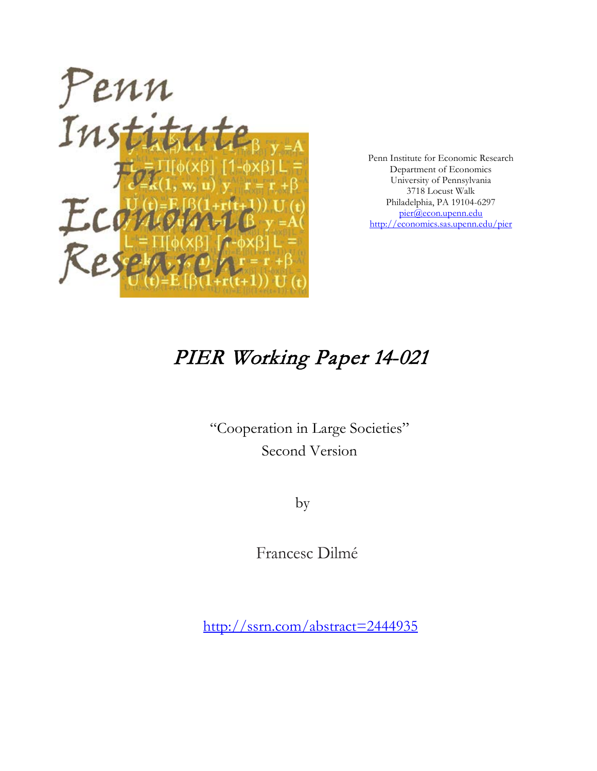

Penn Institute for Economic Research Department of Economics University of Pennsylvania 3718 Locust Walk Philadelphia, PA 19104-6297 [pier@econ.upenn.edu](mailto:pier@econ.upenn.edu) <http://economics.sas.upenn.edu/pier>

# PIER Working Paper 14-021

"Cooperation in Large Societies" Second Version

by

Francesc Dilmé

[http://ssrn.com/abstract=2](http://ssrn.com/abstract_id=)444935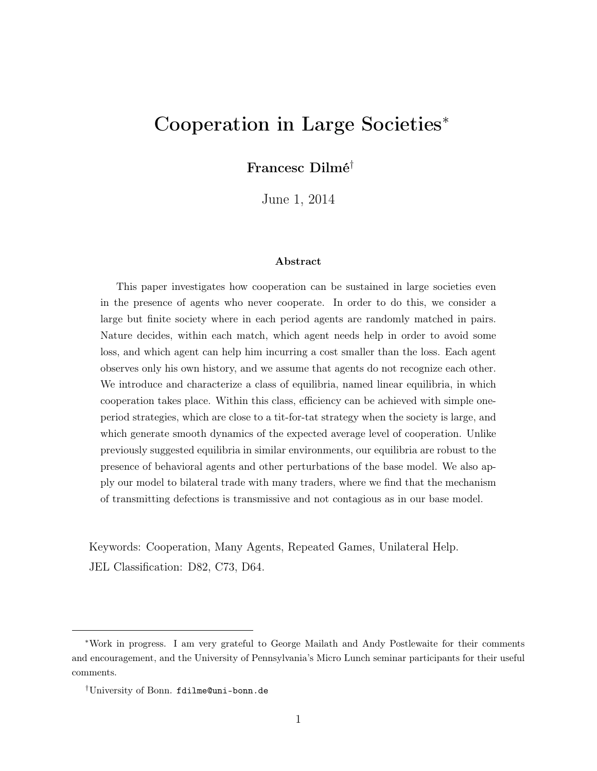## Cooperation in Large Societies<sup>∗</sup>

Francesc Dilmé†

June 1, 2014

#### Abstract

This paper investigates how cooperation can be sustained in large societies even in the presence of agents who never cooperate. In order to do this, we consider a large but finite society where in each period agents are randomly matched in pairs. Nature decides, within each match, which agent needs help in order to avoid some loss, and which agent can help him incurring a cost smaller than the loss. Each agent observes only his own history, and we assume that agents do not recognize each other. We introduce and characterize a class of equilibria, named linear equilibria, in which cooperation takes place. Within this class, efficiency can be achieved with simple oneperiod strategies, which are close to a tit-for-tat strategy when the society is large, and which generate smooth dynamics of the expected average level of cooperation. Unlike previously suggested equilibria in similar environments, our equilibria are robust to the presence of behavioral agents and other perturbations of the base model. We also apply our model to bilateral trade with many traders, where we find that the mechanism of transmitting defections is transmissive and not contagious as in our base model.

Keywords: Cooperation, Many Agents, Repeated Games, Unilateral Help. JEL Classification: D82, C73, D64.

<sup>∗</sup>Work in progress. I am very grateful to George Mailath and Andy Postlewaite for their comments and encouragement, and the University of Pennsylvania's Micro Lunch seminar participants for their useful comments.

<sup>†</sup>University of Bonn. fdilme@uni-bonn.de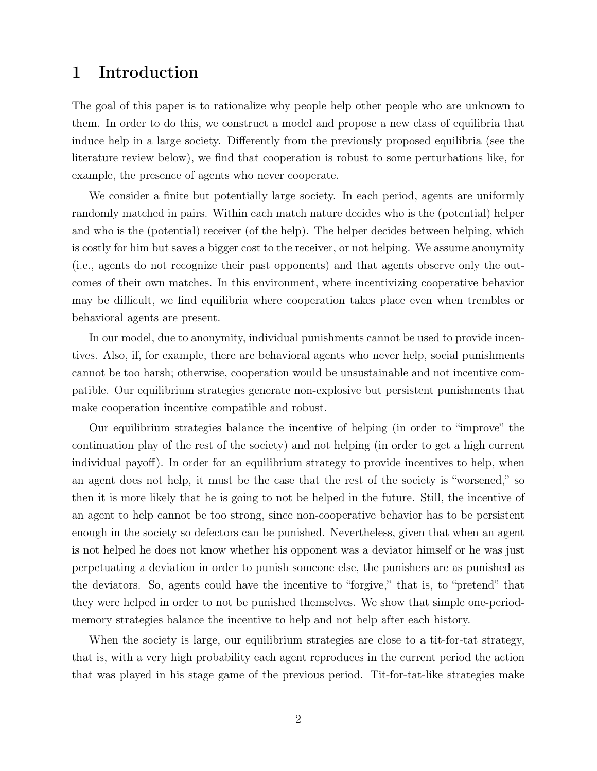## 1 Introduction

The goal of this paper is to rationalize why people help other people who are unknown to them. In order to do this, we construct a model and propose a new class of equilibria that induce help in a large society. Differently from the previously proposed equilibria (see the literature review below), we find that cooperation is robust to some perturbations like, for example, the presence of agents who never cooperate.

We consider a finite but potentially large society. In each period, agents are uniformly randomly matched in pairs. Within each match nature decides who is the (potential) helper and who is the (potential) receiver (of the help). The helper decides between helping, which is costly for him but saves a bigger cost to the receiver, or not helping. We assume anonymity (i.e., agents do not recognize their past opponents) and that agents observe only the outcomes of their own matches. In this environment, where incentivizing cooperative behavior may be difficult, we find equilibria where cooperation takes place even when trembles or behavioral agents are present.

In our model, due to anonymity, individual punishments cannot be used to provide incentives. Also, if, for example, there are behavioral agents who never help, social punishments cannot be too harsh; otherwise, cooperation would be unsustainable and not incentive compatible. Our equilibrium strategies generate non-explosive but persistent punishments that make cooperation incentive compatible and robust.

Our equilibrium strategies balance the incentive of helping (in order to "improve" the continuation play of the rest of the society) and not helping (in order to get a high current individual payoff). In order for an equilibrium strategy to provide incentives to help, when an agent does not help, it must be the case that the rest of the society is "worsened," so then it is more likely that he is going to not be helped in the future. Still, the incentive of an agent to help cannot be too strong, since non-cooperative behavior has to be persistent enough in the society so defectors can be punished. Nevertheless, given that when an agent is not helped he does not know whether his opponent was a deviator himself or he was just perpetuating a deviation in order to punish someone else, the punishers are as punished as the deviators. So, agents could have the incentive to "forgive," that is, to "pretend" that they were helped in order to not be punished themselves. We show that simple one-periodmemory strategies balance the incentive to help and not help after each history.

When the society is large, our equilibrium strategies are close to a tit-for-tat strategy, that is, with a very high probability each agent reproduces in the current period the action that was played in his stage game of the previous period. Tit-for-tat-like strategies make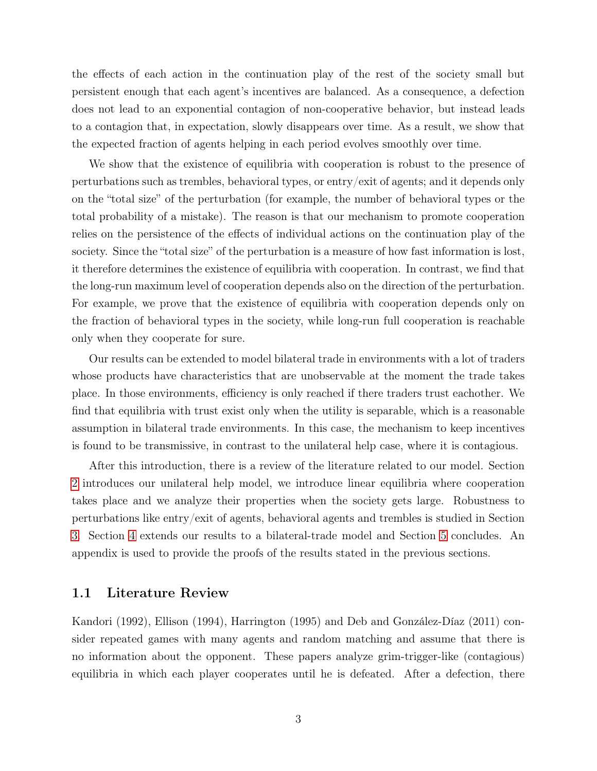the effects of each action in the continuation play of the rest of the society small but persistent enough that each agent's incentives are balanced. As a consequence, a defection does not lead to an exponential contagion of non-cooperative behavior, but instead leads to a contagion that, in expectation, slowly disappears over time. As a result, we show that the expected fraction of agents helping in each period evolves smoothly over time.

We show that the existence of equilibria with cooperation is robust to the presence of perturbations such as trembles, behavioral types, or entry/exit of agents; and it depends only on the "total size" of the perturbation (for example, the number of behavioral types or the total probability of a mistake). The reason is that our mechanism to promote cooperation relies on the persistence of the effects of individual actions on the continuation play of the society. Since the "total size" of the perturbation is a measure of how fast information is lost, it therefore determines the existence of equilibria with cooperation. In contrast, we find that the long-run maximum level of cooperation depends also on the direction of the perturbation. For example, we prove that the existence of equilibria with cooperation depends only on the fraction of behavioral types in the society, while long-run full cooperation is reachable only when they cooperate for sure.

Our results can be extended to model bilateral trade in environments with a lot of traders whose products have characteristics that are unobservable at the moment the trade takes place. In those environments, efficiency is only reached if there traders trust eachother. We find that equilibria with trust exist only when the utility is separable, which is a reasonable assumption in bilateral trade environments. In this case, the mechanism to keep incentives is found to be transmissive, in contrast to the unilateral help case, where it is contagious.

After this introduction, there is a review of the literature related to our model. Section [2](#page-4-0) introduces our unilateral help model, we introduce linear equilibria where cooperation takes place and we analyze their properties when the society gets large. Robustness to perturbations like entry/exit of agents, behavioral agents and trembles is studied in Section [3.](#page-13-0) Section [4](#page-18-0) extends our results to a bilateral-trade model and Section [5](#page-20-0) concludes. An appendix is used to provide the proofs of the results stated in the previous sections.

#### 1.1 Literature Review

Kandori (1992), Ellison (1994), Harrington (1995) and Deb and González-Díaz (2011) consider repeated games with many agents and random matching and assume that there is no information about the opponent. These papers analyze grim-trigger-like (contagious) equilibria in which each player cooperates until he is defeated. After a defection, there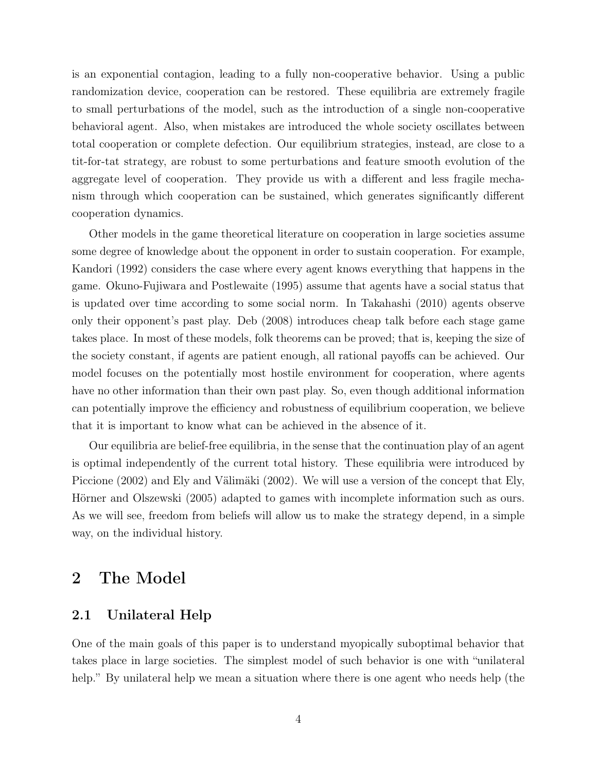is an exponential contagion, leading to a fully non-cooperative behavior. Using a public randomization device, cooperation can be restored. These equilibria are extremely fragile to small perturbations of the model, such as the introduction of a single non-cooperative behavioral agent. Also, when mistakes are introduced the whole society oscillates between total cooperation or complete defection. Our equilibrium strategies, instead, are close to a tit-for-tat strategy, are robust to some perturbations and feature smooth evolution of the aggregate level of cooperation. They provide us with a different and less fragile mechanism through which cooperation can be sustained, which generates significantly different cooperation dynamics.

Other models in the game theoretical literature on cooperation in large societies assume some degree of knowledge about the opponent in order to sustain cooperation. For example, Kandori (1992) considers the case where every agent knows everything that happens in the game. Okuno-Fujiwara and Postlewaite (1995) assume that agents have a social status that is updated over time according to some social norm. In Takahashi (2010) agents observe only their opponent's past play. Deb (2008) introduces cheap talk before each stage game takes place. In most of these models, folk theorems can be proved; that is, keeping the size of the society constant, if agents are patient enough, all rational payoffs can be achieved. Our model focuses on the potentially most hostile environment for cooperation, where agents have no other information than their own past play. So, even though additional information can potentially improve the efficiency and robustness of equilibrium cooperation, we believe that it is important to know what can be achieved in the absence of it.

Our equilibria are belief-free equilibria, in the sense that the continuation play of an agent is optimal independently of the current total history. These equilibria were introduced by Piccione (2002) and Ely and Välimäki (2002). We will use a version of the concept that Ely, Hörner and Olszewski (2005) adapted to games with incomplete information such as ours. As we will see, freedom from beliefs will allow us to make the strategy depend, in a simple way, on the individual history.

## <span id="page-4-0"></span>2 The Model

#### 2.1 Unilateral Help

One of the main goals of this paper is to understand myopically suboptimal behavior that takes place in large societies. The simplest model of such behavior is one with "unilateral help." By unilateral help we mean a situation where there is one agent who needs help (the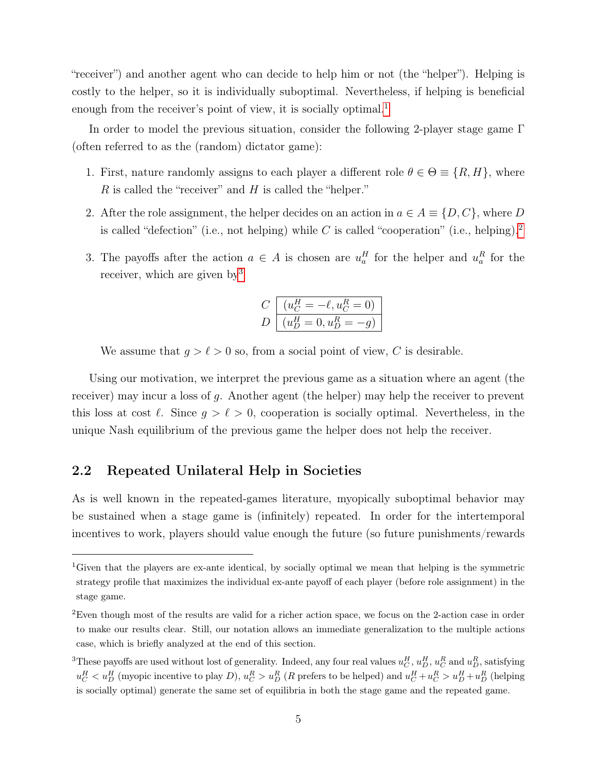"receiver") and another agent who can decide to help him or not (the "helper"). Helping is costly to the helper, so it is individually suboptimal. Nevertheless, if helping is beneficial enough from the receiver's point of view, it is socially optimal.<sup>[1](#page-5-0)</sup>

In order to model the previous situation, consider the following 2-player stage game  $\Gamma$ (often referred to as the (random) dictator game):

- 1. First, nature randomly assigns to each player a different role  $\theta \in \Theta \equiv \{R, H\}$ , where  $R$  is called the "receiver" and  $H$  is called the "helper."
- 2. After the role assignment, the helper decides on an action in  $a \in A \equiv \{D, C\}$ , where D is called "defection" (i.e., not helping) while C is called "cooperation" (i.e., helping).<sup>[2](#page-5-1)</sup>
- 3. The payoffs after the action  $a \in A$  is chosen are  $u_a^H$  for the helper and  $u_a^R$  for the receiver, which are given by<sup>[3](#page-5-2)</sup>

$$
C\left[\frac{(u_C^H = -\ell, u_C^R = 0)}{(u_D^H = 0, u_D^R = -g)}\right]
$$

We assume that  $g > \ell > 0$  so, from a social point of view, C is desirable.

Using our motivation, we interpret the previous game as a situation where an agent (the receiver) may incur a loss of g. Another agent (the helper) may help the receiver to prevent this loss at cost  $\ell$ . Since  $g > \ell > 0$ , cooperation is socially optimal. Nevertheless, in the unique Nash equilibrium of the previous game the helper does not help the receiver.

#### <span id="page-5-3"></span>2.2 Repeated Unilateral Help in Societies

As is well known in the repeated-games literature, myopically suboptimal behavior may be sustained when a stage game is (infinitely) repeated. In order for the intertemporal incentives to work, players should value enough the future (so future punishments/rewards

<span id="page-5-0"></span><sup>1</sup>Given that the players are ex-ante identical, by socially optimal we mean that helping is the symmetric strategy profile that maximizes the individual ex-ante payoff of each player (before role assignment) in the stage game.

<span id="page-5-1"></span><sup>2</sup>Even though most of the results are valid for a richer action space, we focus on the 2-action case in order to make our results clear. Still, our notation allows an immediate generalization to the multiple actions case, which is briefly analyzed at the end of this section.

<span id="page-5-2"></span><sup>&</sup>lt;sup>3</sup>These payoffs are used without lost of generality. Indeed, any four real values  $u_C^H$ ,  $u_D^H$ ,  $u_C^R$  and  $u_D^R$ , satisfying  $u_C^H < u_D^H$  (myopic incentive to play D),  $u_C^R > u_D^R$  (R prefers to be helped) and  $u_C^H + u_C^R > u_D^H + u_D^R$  (helping is socially optimal) generate the same set of equilibria in both the stage game and the repeated game.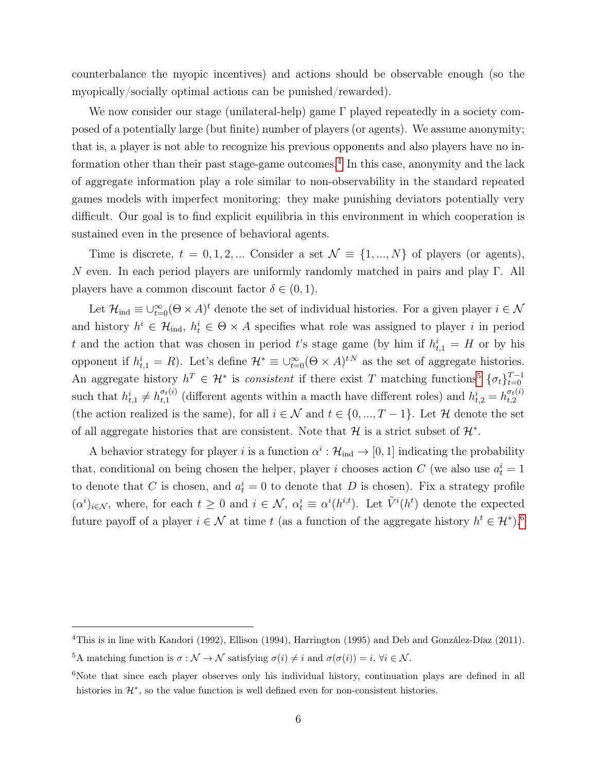counterbalance the myopic incentives) and actions should be observable enough (so the myopically/socially optimal actions can be punished/rewarded).

We now consider our stage (unilateral-help) game Γ played repeatedly in a society composed of a potentially large (but finite) number of players (or agents). We assume anonymity; that is, a player is not able to recognize his previous opponents and also players have no in-formation other than their past stage-game outcomes.<sup>[4](#page-6-0)</sup> In this case, anonymity and the lack of aggregate information play a role similar to non-observability in the standard repeated games models with imperfect monitoring: they make punishing deviators potentially very difficult. Our goal is to find explicit equilibria in this environment in which cooperation is sustained even in the presence of behavioral agents.

Time is discrete,  $t = 0, 1, 2, ...$  Consider a set  $\mathcal{N} \equiv \{1, ..., N\}$  of players (or agents), N even. In each period players are uniformly randomly matched in pairs and play Γ. All players have a common discount factor  $\delta \in (0,1)$ .

Let  $\mathcal{H}_{ind} \equiv \cup_{t=0}^{\infty} (\Theta \times A)^t$  denote the set of individual histories. For a given player  $i \in \mathcal{N}$ and history  $h^i \in \mathcal{H}_{ind}$ ,  $h_t^i \in \Theta \times A$  specifies what role was assigned to player i in period t and the action that was chosen in period t's stage game (by him if  $h_{t,1}^i = H$  or by his opponent if  $h_{t,1}^i = R$ ). Let's define  $\mathcal{H}^* \equiv \bigcup_{t=0}^{\infty} (\Theta \times A)^{tN}$  as the set of aggregate histories. An aggregate history  $h^T \in \mathcal{H}^*$  is consistent if there exist T matching functions<sup>[5](#page-6-1)</sup>  $\{\sigma_t\}_{t=0}^{T-1}$ such that  $h_{t,1}^i \neq h_{t,1}^{\sigma_t(i)}$  $\sigma_{t}(i)$  (different agents within a macth have different roles) and  $h_{t,2}^{i} = h_{t,2}^{\sigma_t(i)}$  $_{t,2}$ (the action realized is the same), for all  $i \in \mathcal{N}$  and  $t \in \{0, ..., T-1\}$ . Let H denote the set of all aggregate histories that are consistent. Note that  $\mathcal H$  is a strict subset of  $\mathcal H^*$ .

A behavior strategy for player *i* is a function  $\alpha^i : \mathcal{H}_{ind} \to [0, 1]$  indicating the probability that, conditional on being chosen the helper, player *i* chooses action  $C$  (we also use  $a_t^i = 1$ ) to denote that C is chosen, and  $a_t^i = 0$  to denote that D is chosen). Fix a strategy profile  $(\alpha^i)_{i\in\mathcal{N}}$ , where, for each  $t\geq 0$  and  $i\in\mathcal{N}$ ,  $\alpha^i_t\equiv \alpha^i(h^{i,t})$ . Let  $\tilde{V}^i(h^t)$  denote the expected future payoff of a player  $i \in \mathcal{N}$  at time t (as a function of the aggregate history  $h^t \in \mathcal{H}^*$ ).<sup>[6](#page-6-2)</sup>

<span id="page-6-0"></span><sup>&</sup>lt;sup>4</sup>This is in line with Kandori (1992), Ellison (1994), Harrington (1995) and Deb and González-Díaz (2011).

<span id="page-6-1"></span><sup>&</sup>lt;sup>5</sup>A matching function is  $\sigma : \mathcal{N} \to \mathcal{N}$  satisfying  $\sigma(i) \neq i$  and  $\sigma(\sigma(i)) = i, \forall i \in \mathcal{N}$ .

<span id="page-6-2"></span> $6$ Note that since each player observes only his individual history, continuation plays are defined in all histories in  $\mathcal{H}^*$ , so the value function is well defined even for non-consistent histories.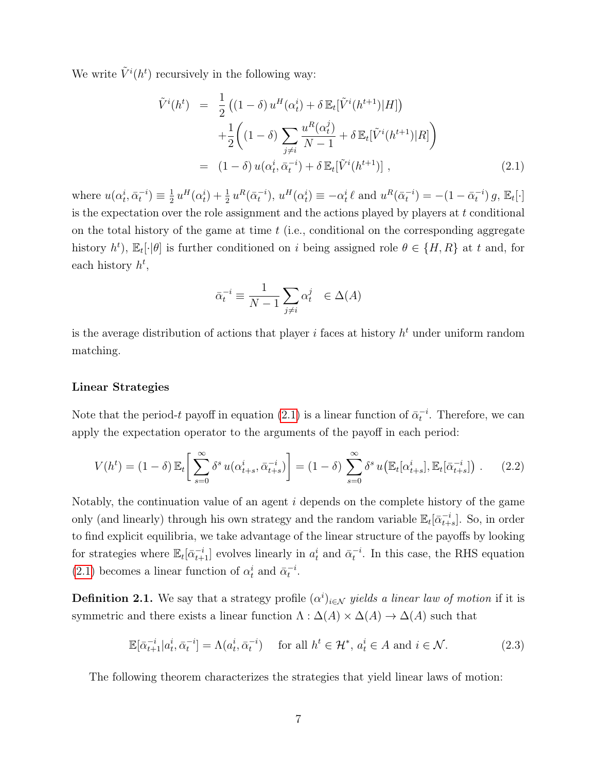We write  $\tilde{V}^i(h^t)$  recursively in the following way:

<span id="page-7-0"></span>
$$
\tilde{V}^{i}(h^{t}) = \frac{1}{2} ((1 - \delta) u^{H}(\alpha_{t}^{i}) + \delta \mathbb{E}_{t} [\tilde{V}^{i}(h^{t+1})|H]) \n+ \frac{1}{2} ((1 - \delta) \sum_{j \neq i} \frac{u^{R}(\alpha_{t}^{j})}{N - 1} + \delta \mathbb{E}_{t} [\tilde{V}^{i}(h^{t+1})|R] ) \n= (1 - \delta) u(\alpha_{t}^{i}, \bar{\alpha}_{t}^{-i}) + \delta \mathbb{E}_{t} [\tilde{V}^{i}(h^{t+1})],
$$
\n(2.1)

where  $u(\alpha_t^i, \bar{\alpha}_t^{-i}) \equiv \frac{1}{2}$  $\frac{1}{2}u^H(\alpha_t^i) + \frac{1}{2}u^R(\bar{\alpha}_t^{-i}), u^H(\alpha_t^i) \equiv -\alpha_t^i \ell \text{ and } u^R(\bar{\alpha}_t^{-i}) = -(1 - \bar{\alpha}_t^{-i}) g, \mathbb{E}_t[\cdot]$ is the expectation over the role assignment and the actions played by players at  $t$  conditional on the total history of the game at time  $t$  (i.e., conditional on the corresponding aggregate history  $h^t$ ),  $\mathbb{E}_t[\cdot|\theta]$  is further conditioned on i being assigned role  $\theta \in \{H, R\}$  at t and, for each history  $h^t$ ,

$$
\bar{\alpha}_t^{-i} \equiv \frac{1}{N-1} \sum_{j \neq i} \alpha_t^j \in \Delta(A)
$$

is the average distribution of actions that player *i* faces at history  $h<sup>t</sup>$  under uniform random matching.

#### Linear Strategies

Note that the period-t payoff in equation [\(2.1\)](#page-7-0) is a linear function of  $\bar{\alpha}_t^{-i}$ . Therefore, we can apply the expectation operator to the arguments of the payoff in each period:

<span id="page-7-1"></span>
$$
V(h^t) = (1 - \delta) \mathbb{E}_t \left[ \sum_{s=0}^{\infty} \delta^s u(\alpha_{t+s}^i, \bar{\alpha}_{t+s}^{-i}) \right] = (1 - \delta) \sum_{s=0}^{\infty} \delta^s u(\mathbb{E}_t[\alpha_{t+s}^i], \mathbb{E}_t[\bar{\alpha}_{t+s}^{-i}]) . \tag{2.2}
$$

Notably, the continuation value of an agent i depends on the complete history of the game only (and linearly) through his own strategy and the random variable  $\mathbb{E}_t[\bar{\alpha}_{t+s}^{-i}]$ . So, in order to find explicit equilibria, we take advantage of the linear structure of the payoffs by looking for strategies where  $\mathbb{E}_t[\bar{\alpha}_{t+1}^{-i}]$  evolves linearly in  $a_t^i$  and  $\bar{\alpha}_t^{-i}$ . In this case, the RHS equation [\(2.1\)](#page-7-0) becomes a linear function of  $\alpha_t^i$  and  $\bar{\alpha}_t^{-i}$ .

**Definition 2.1.** We say that a strategy profile  $(\alpha^i)_{i \in \mathcal{N}}$  yields a linear law of motion if it is symmetric and there exists a linear function  $\Lambda : \Delta(A) \times \Delta(A) \to \Delta(A)$  such that

<span id="page-7-3"></span>
$$
\mathbb{E}[\bar{\alpha}_{t+1}^{-i}|a_t^i, \bar{\alpha}_t^{-i}] = \Lambda(a_t^i, \bar{\alpha}_t^{-i}) \quad \text{ for all } h^t \in \mathcal{H}^*, a_t^i \in A \text{ and } i \in \mathcal{N}.
$$
 (2.3)

<span id="page-7-2"></span>The following theorem characterizes the strategies that yield linear laws of motion: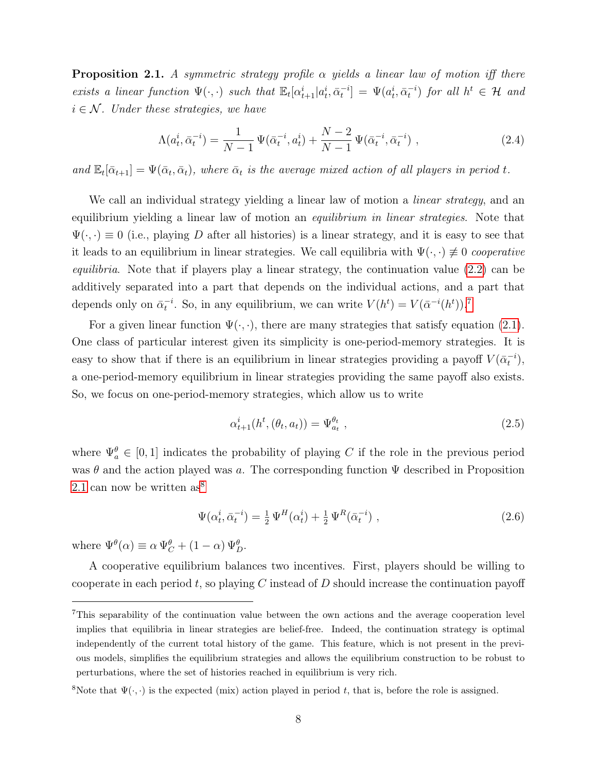**Proposition 2.1.** A symmetric strategy profile  $\alpha$  yields a linear law of motion iff there exists a linear function  $\Psi(\cdot, \cdot)$  such that  $\mathbb{E}_t[\alpha_{t+1}^i | a_t^i, \bar{\alpha}_t^{-i}] = \Psi(a_t^i, \bar{\alpha}_t^{-i})$  for all  $h^t \in \mathcal{H}$  and  $i \in \mathcal{N}$ . Under these strategies, we have

<span id="page-8-2"></span>
$$
\Lambda(a_t^i, \bar{\alpha}_t^{-i}) = \frac{1}{N-1} \Psi(\bar{\alpha}_t^{-i}, a_t^i) + \frac{N-2}{N-1} \Psi(\bar{\alpha}_t^{-i}, \bar{\alpha}_t^{-i}) ,
$$
\n(2.4)

and  $\mathbb{E}_t[\bar{\alpha}_{t+1}] = \Psi(\bar{\alpha}_t, \bar{\alpha}_t)$ , where  $\bar{\alpha}_t$  is the average mixed action of all players in period t.

We call an individual strategy yielding a linear law of motion a *linear strategy*, and an equilibrium yielding a linear law of motion an *equilibrium in linear strategies*. Note that  $\Psi(\cdot, \cdot) \equiv 0$  (i.e., playing D after all histories) is a linear strategy, and it is easy to see that it leads to an equilibrium in linear strategies. We call equilibria with  $\Psi(\cdot, \cdot) \neq 0$  cooperative *equilibria*. Note that if players play a linear strategy, the continuation value  $(2.2)$  can be additively separated into a part that depends on the individual actions, and a part that depends only on  $\bar{\alpha}_t^{-i}$ . So, in any equilibrium, we can write  $V(h^t) = V(\bar{\alpha}^{-i}(h^t))$ .<sup>[7](#page-8-0)</sup>

For a given linear function  $\Psi(\cdot, \cdot)$ , there are many strategies that satisfy equation [\(2.1\)](#page-7-2). One class of particular interest given its simplicity is one-period-memory strategies. It is easy to show that if there is an equilibrium in linear strategies providing a payoff  $V(\bar{\alpha}_t^{-i})$ , a one-period-memory equilibrium in linear strategies providing the same payoff also exists. So, we focus on one-period-memory strategies, which allow us to write

$$
\alpha_{t+1}^{i}(h^{t},(\theta_{t},a_{t})) = \Psi_{a_{t}}^{\theta_{t}} , \qquad (2.5)
$$

where  $\Psi_a^{\theta} \in [0,1]$  indicates the probability of playing C if the role in the previous period was  $\theta$  and the action played was a. The corresponding function  $\Psi$  described in Proposition [2.1](#page-7-2) can now be written  $as^8$  $as^8$ 

$$
\Psi(\alpha_t^i, \bar{\alpha}_t^{-i}) = \frac{1}{2} \Psi^H(\alpha_t^i) + \frac{1}{2} \Psi^R(\bar{\alpha}_t^{-i}), \qquad (2.6)
$$

where  $\Psi^{\theta}(\alpha) \equiv \alpha \Psi^{\theta}_{C} + (1 - \alpha) \Psi^{\theta}_{D}$ .

A cooperative equilibrium balances two incentives. First, players should be willing to cooperate in each period t, so playing C instead of D should increase the continuation payoff

<span id="page-8-0"></span><sup>7</sup>This separability of the continuation value between the own actions and the average cooperation level implies that equilibria in linear strategies are belief-free. Indeed, the continuation strategy is optimal independently of the current total history of the game. This feature, which is not present in the previous models, simplifies the equilibrium strategies and allows the equilibrium construction to be robust to perturbations, where the set of histories reached in equilibrium is very rich.

<span id="page-8-1"></span><sup>&</sup>lt;sup>8</sup>Note that  $\Psi(\cdot, \cdot)$  is the expected (mix) action played in period t, that is, before the role is assigned.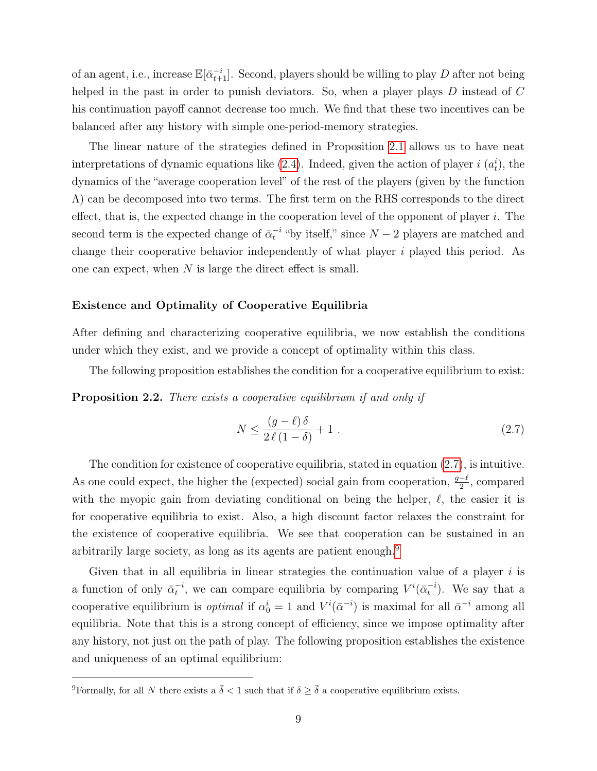of an agent, i.e., increase  $\mathbb{E}[\bar{\alpha}_{t+1}^{-i}]$ . Second, players should be willing to play D after not being helped in the past in order to punish deviators. So, when a player plays D instead of C his continuation payoff cannot decrease too much. We find that these two incentives can be balanced after any history with simple one-period-memory strategies.

The linear nature of the strategies defined in Proposition [2.1](#page-7-2) allows us to have neat interpretations of dynamic equations like  $(2.4)$ . Indeed, given the action of player i  $(a_t^i)$ , the dynamics of the "average cooperation level" of the rest of the players (given by the function  $\Lambda$ ) can be decomposed into two terms. The first term on the RHS corresponds to the direct effect, that is, the expected change in the cooperation level of the opponent of player  $i$ . The second term is the expected change of  $\bar{\alpha}_t^{-i}$  "by itself," since  $N-2$  players are matched and change their cooperative behavior independently of what player i played this period. As one can expect, when  $N$  is large the direct effect is small.

#### Existence and Optimality of Cooperative Equilibria

After defining and characterizing cooperative equilibria, we now establish the conditions under which they exist, and we provide a concept of optimality within this class.

The following proposition establishes the condition for a cooperative equilibrium to exist:

<span id="page-9-2"></span>**Proposition 2.2.** There exists a cooperative equilibrium if and only if

<span id="page-9-0"></span>
$$
N \le \frac{(g-\ell)\,\delta}{2\,\ell\,(1-\delta)} + 1\,. \tag{2.7}
$$

The condition for existence of cooperative equilibria, stated in equation [\(2.7\)](#page-9-0), is intuitive. As one could expect, the higher the (expected) social gain from cooperation,  $\frac{g-\ell}{2}$ , compared with the myopic gain from deviating conditional on being the helper,  $\ell$ , the easier it is for cooperative equilibria to exist. Also, a high discount factor relaxes the constraint for the existence of cooperative equilibria. We see that cooperation can be sustained in an arbitrarily large society, as long as its agents are patient enough.<sup>[9](#page-9-1)</sup>

Given that in all equilibria in linear strategies the continuation value of a player  $i$  is a function of only  $\bar{\alpha}_t^{-i}$ , we can compare equilibria by comparing  $V^i(\bar{\alpha}_t^{-i})$ . We say that a cooperative equilibrium is *optimal* if  $\alpha_0^i = 1$  and  $V^i(\bar{\alpha}^{-i})$  is maximal for all  $\bar{\alpha}^{-i}$  among all equilibria. Note that this is a strong concept of efficiency, since we impose optimality after any history, not just on the path of play. The following proposition establishes the existence and uniqueness of an optimal equilibrium:

<span id="page-9-3"></span><span id="page-9-1"></span><sup>&</sup>lt;sup>9</sup>Formally, for all N there exists a  $\bar{\delta}$  < 1 such that if  $\delta \geq \bar{\delta}$  a cooperative equilibrium exists.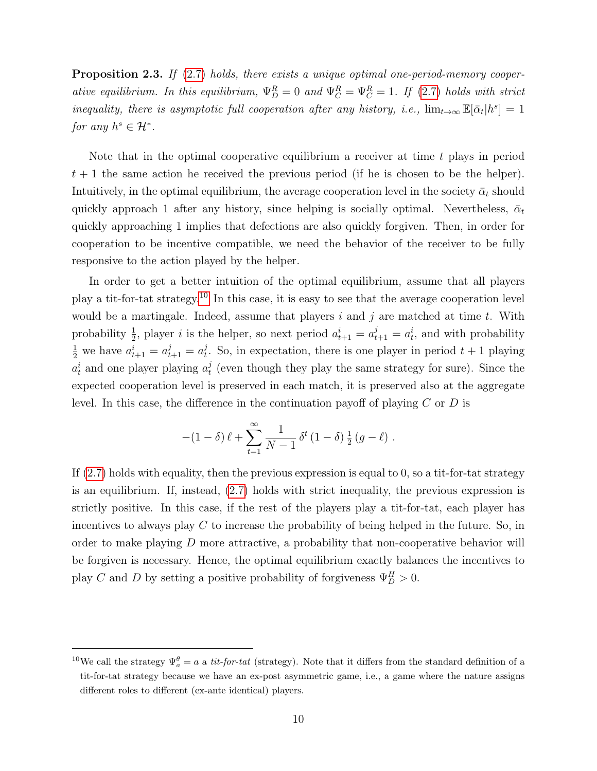**Proposition 2.3.** If  $(2.7)$  holds, there exists a unique optimal one-period-memory cooperative equilibrium. In this equilibrium,  $\Psi_D^R = 0$  and  $\Psi_C^R = \Psi_C^R = 1$ . If [\(2.7\)](#page-9-0) holds with strict inequality, there is asymptotic full cooperation after any history, i.e.,  $\lim_{t\to\infty} \mathbb{E}[\bar{\alpha}_t|h^s] = 1$ for any  $h^s \in \mathcal{H}^*$ .

Note that in the optimal cooperative equilibrium a receiver at time  $t$  plays in period  $t + 1$  the same action he received the previous period (if he is chosen to be the helper). Intuitively, in the optimal equilibrium, the average cooperation level in the society  $\bar{\alpha}_t$  should quickly approach 1 after any history, since helping is socially optimal. Nevertheless,  $\bar{\alpha}_t$ quickly approaching 1 implies that defections are also quickly forgiven. Then, in order for cooperation to be incentive compatible, we need the behavior of the receiver to be fully responsive to the action played by the helper.

In order to get a better intuition of the optimal equilibrium, assume that all players play a tit-for-tat strategy.[10](#page-10-0) In this case, it is easy to see that the average cooperation level would be a martingale. Indeed, assume that players i and j are matched at time t. With probability  $\frac{1}{2}$ , player *i* is the helper, so next period  $a_{t+1}^i = a_{t+1}^j = a_t^i$ , and with probability  $\frac{1}{2}$  we have  $a_{t+1}^i = a_{t+1}^j = a_t^j$  $t_t^j$ . So, in expectation, there is one player in period  $t + 1$  playing  $a_t^i$  and one player playing  $a_t^j$  $_t^j$  (even though they play the same strategy for sure). Since the expected cooperation level is preserved in each match, it is preserved also at the aggregate level. In this case, the difference in the continuation payoff of playing  $C$  or  $D$  is

$$
-(1-\delta)\,\ell + \sum_{t=1}^{\infty} \frac{1}{N-1} \,\delta^{t}\,(1-\delta)\,\frac{1}{2}\,(g-\ell) .
$$

If [\(2.7\)](#page-9-0) holds with equality, then the previous expression is equal to 0, so a tit-for-tat strategy is an equilibrium. If, instead, [\(2.7\)](#page-9-0) holds with strict inequality, the previous expression is strictly positive. In this case, if the rest of the players play a tit-for-tat, each player has incentives to always play  $C$  to increase the probability of being helped in the future. So, in order to make playing  $D$  more attractive, a probability that non-cooperative behavior will be forgiven is necessary. Hence, the optimal equilibrium exactly balances the incentives to play C and D by setting a positive probability of forgiveness  $\Psi_D^H > 0$ .

<span id="page-10-0"></span><sup>&</sup>lt;sup>10</sup>We call the strategy  $\Psi_a^{\theta} = a$  a *tit-for-tat* (strategy). Note that it differs from the standard definition of a tit-for-tat strategy because we have an ex-post asymmetric game, i.e., a game where the nature assigns different roles to different (ex-ante identical) players.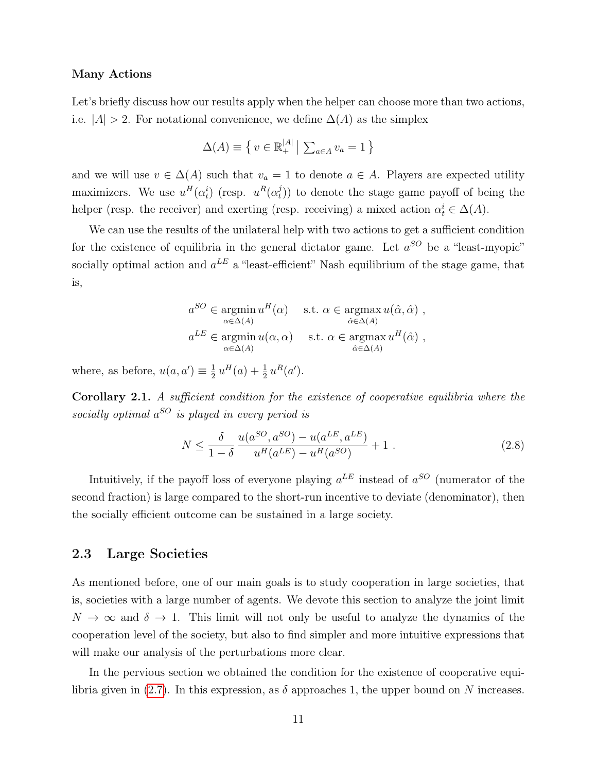#### Many Actions

Let's briefly discuss how our results apply when the helper can choose more than two actions, i.e.  $|A| > 2$ . For notational convenience, we define  $\Delta(A)$  as the simplex

$$
\Delta(A) \equiv \left\{ v \in \mathbb{R}_+^{|A|} \, \middle| \, \sum_{a \in A} v_a = 1 \right\}
$$

and we will use  $v \in \Delta(A)$  such that  $v_a = 1$  to denote  $a \in A$ . Players are expected utility maximizers. We use  $u^H(\alpha_t^i)$  (resp.  $u^R(\alpha_t^j)$  $(t<sub>t</sub>)$ ) to denote the stage game payoff of being the helper (resp. the receiver) and exerting (resp. receiving) a mixed action  $\alpha_t^i \in \Delta(A)$ .

We can use the results of the unilateral help with two actions to get a sufficient condition for the existence of equilibria in the general dictator game. Let  $a^{SO}$  be a "least-myopic" socially optimal action and  $a^{LE}$  a "least-efficient" Nash equilibrium of the stage game, that is,

$$
a^{SO} \in \operatorname*{argmin}_{\alpha \in \Delta(A)} u^H(\alpha) \quad \text{s.t. } \alpha \in \operatorname*{argmax}_{\hat{\alpha} \in \Delta(A)} u(\hat{\alpha}, \hat{\alpha}) ,
$$
  

$$
a^{LE} \in \operatorname*{argmin}_{\alpha \in \Delta(A)} u(\alpha, \alpha) \quad \text{s.t. } \alpha \in \operatorname*{argmax}_{\hat{\alpha} \in \Delta(A)} u^H(\hat{\alpha}) ,
$$

where, as before,  $u(a, a') \equiv \frac{1}{2}$  $\frac{1}{2} u^H(a) + \frac{1}{2} u^R(a').$ 

<span id="page-11-0"></span>Corollary 2.1. A sufficient condition for the existence of cooperative equilibria where the socially optimal  $a^{SO}$  is played in every period is

<span id="page-11-1"></span>
$$
N \le \frac{\delta}{1-\delta} \frac{u(a^{SO}, a^{SO}) - u(a^{LE}, a^{LE})}{u^H(a^{LE}) - u^H(a^{SO})} + 1.
$$
 (2.8)

Intuitively, if the payoff loss of everyone playing  $a^{LE}$  instead of  $a^{SO}$  (numerator of the second fraction) is large compared to the short-run incentive to deviate (denominator), then the socially efficient outcome can be sustained in a large society.

#### 2.3 Large Societies

As mentioned before, one of our main goals is to study cooperation in large societies, that is, societies with a large number of agents. We devote this section to analyze the joint limit  $N \to \infty$  and  $\delta \to 1$ . This limit will not only be useful to analyze the dynamics of the cooperation level of the society, but also to find simpler and more intuitive expressions that will make our analysis of the perturbations more clear.

In the pervious section we obtained the condition for the existence of cooperative equi-libria given in [\(2.7\)](#page-9-0). In this expression, as  $\delta$  approaches 1, the upper bound on N increases.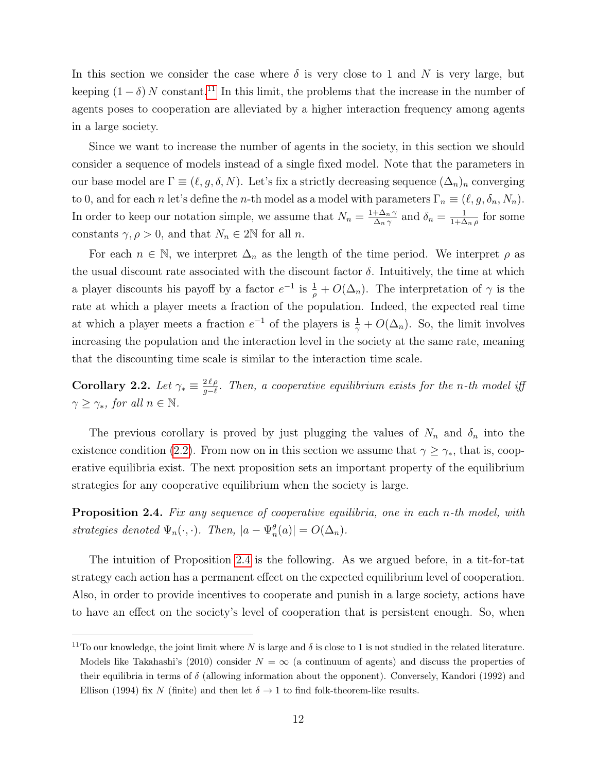In this section we consider the case where  $\delta$  is very close to 1 and N is very large, but keeping  $(1 - \delta)$  N constant.<sup>[11](#page-12-0)</sup> In this limit, the problems that the increase in the number of agents poses to cooperation are alleviated by a higher interaction frequency among agents in a large society.

Since we want to increase the number of agents in the society, in this section we should consider a sequence of models instead of a single fixed model. Note that the parameters in our base model are  $\Gamma \equiv (\ell, g, \delta, N)$ . Let's fix a strictly decreasing sequence  $(\Delta_n)_n$  converging to 0, and for each n let's define the n-th model as a model with parameters  $\Gamma_n \equiv (\ell, g, \delta_n, N_n)$ . In order to keep our notation simple, we assume that  $N_n = \frac{1+\Delta_n \gamma}{\Delta_n \gamma}$  $\frac{+\Delta_n \gamma}{\Delta_n \gamma}$  and  $\delta_n = \frac{1}{1+\Delta_n}$  $\frac{1}{1+\Delta_n\rho}$  for some constants  $\gamma, \rho > 0$ , and that  $N_n \in 2\mathbb{N}$  for all *n*.

For each  $n \in \mathbb{N}$ , we interpret  $\Delta_n$  as the length of the time period. We interpret  $\rho$  as the usual discount rate associated with the discount factor  $\delta$ . Intuitively, the time at which a player discounts his payoff by a factor  $e^{-1}$  is  $\frac{1}{\rho} + O(\Delta_n)$ . The interpretation of  $\gamma$  is the rate at which a player meets a fraction of the population. Indeed, the expected real time at which a player meets a fraction  $e^{-1}$  of the players is  $\frac{1}{\gamma} + O(\Delta_n)$ . So, the limit involves increasing the population and the interaction level in the society at the same rate, meaning that the discounting time scale is similar to the interaction time scale.

Corollary 2.2. Let  $\gamma_* \equiv \frac{2 \ell \rho}{g - \ell}$  $\frac{2\ell\rho}{g-\ell}$ . Then, a cooperative equilibrium exists for the n-th model iff  $\gamma \geq \gamma_*$ , for all  $n \in \mathbb{N}$ .

The previous corollary is proved by just plugging the values of  $N_n$  and  $\delta_n$  into the existence condition [\(2.2\)](#page-9-2). From now on in this section we assume that  $\gamma \geq \gamma_*$ , that is, cooperative equilibria exist. The next proposition sets an important property of the equilibrium strategies for any cooperative equilibrium when the society is large.

<span id="page-12-1"></span>Proposition 2.4. Fix any sequence of cooperative equilibria, one in each n-th model, with strategies denoted  $\Psi_n(\cdot, \cdot)$ . Then,  $|a - \Psi_n^{\theta}(a)| = O(\Delta_n)$ .

The intuition of Proposition [2.4](#page-12-1) is the following. As we argued before, in a tit-for-tat strategy each action has a permanent effect on the expected equilibrium level of cooperation. Also, in order to provide incentives to cooperate and punish in a large society, actions have to have an effect on the society's level of cooperation that is persistent enough. So, when

<span id="page-12-0"></span><sup>&</sup>lt;sup>11</sup>To our knowledge, the joint limit where N is large and  $\delta$  is close to 1 is not studied in the related literature. Models like Takahashi's (2010) consider  $N = \infty$  (a continuum of agents) and discuss the properties of their equilibria in terms of  $\delta$  (allowing information about the opponent). Conversely, Kandori (1992) and Ellison (1994) fix N (finite) and then let  $\delta \to 1$  to find folk-theorem-like results.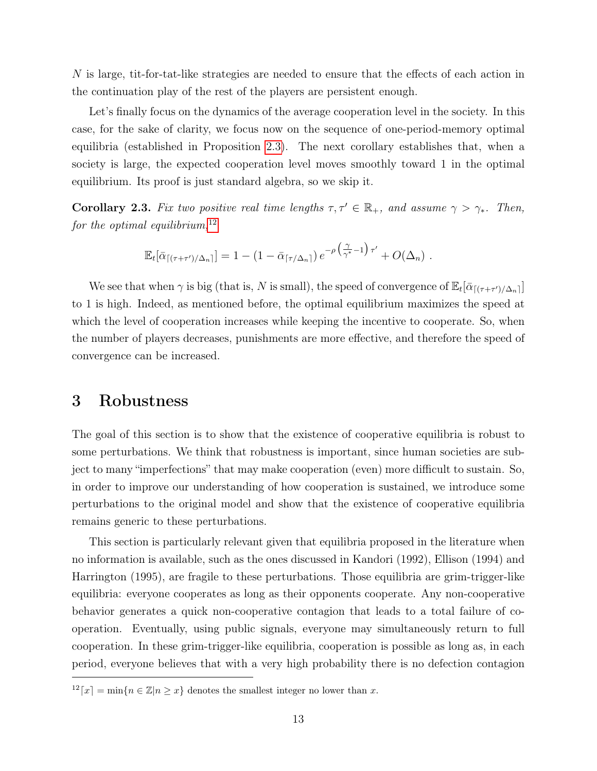N is large, tit-for-tat-like strategies are needed to ensure that the effects of each action in the continuation play of the rest of the players are persistent enough.

Let's finally focus on the dynamics of the average cooperation level in the society. In this case, for the sake of clarity, we focus now on the sequence of one-period-memory optimal equilibria (established in Proposition [2.3\)](#page-9-3). The next corollary establishes that, when a society is large, the expected cooperation level moves smoothly toward 1 in the optimal equilibrium. Its proof is just standard algebra, so we skip it.

**Corollary 2.3.** Fix two positive real time lengths  $\tau, \tau' \in \mathbb{R}_+$ , and assume  $\gamma > \gamma_*$ . Then, for the optimal equilibrium,  $12$ 

$$
\mathbb{E}_t[\bar{\alpha}_{\lceil(\tau+\tau')/\Delta_n\rceil}] = 1 - (1 - \bar{\alpha}_{\lceil\tau/\Delta_n\rceil}) e^{-\rho \left(\frac{\gamma}{\gamma^*}-1\right) \tau'} + O(\Delta_n) .
$$

We see that when  $\gamma$  is big (that is, N is small), the speed of convergence of  $\mathbb{E}_t[\bar{\alpha}_{\lceil(\tau+\tau')/\Delta_n\rceil}]$ to 1 is high. Indeed, as mentioned before, the optimal equilibrium maximizes the speed at which the level of cooperation increases while keeping the incentive to cooperate. So, when the number of players decreases, punishments are more effective, and therefore the speed of convergence can be increased.

### <span id="page-13-0"></span>3 Robustness

The goal of this section is to show that the existence of cooperative equilibria is robust to some perturbations. We think that robustness is important, since human societies are subject to many "imperfections" that may make cooperation (even) more difficult to sustain. So, in order to improve our understanding of how cooperation is sustained, we introduce some perturbations to the original model and show that the existence of cooperative equilibria remains generic to these perturbations.

This section is particularly relevant given that equilibria proposed in the literature when no information is available, such as the ones discussed in Kandori (1992), Ellison (1994) and Harrington (1995), are fragile to these perturbations. Those equilibria are grim-trigger-like equilibria: everyone cooperates as long as their opponents cooperate. Any non-cooperative behavior generates a quick non-cooperative contagion that leads to a total failure of cooperation. Eventually, using public signals, everyone may simultaneously return to full cooperation. In these grim-trigger-like equilibria, cooperation is possible as long as, in each period, everyone believes that with a very high probability there is no defection contagion

<span id="page-13-1"></span> $12[x] = \min\{n \in \mathbb{Z} | n \geq x\}$  denotes the smallest integer no lower than x.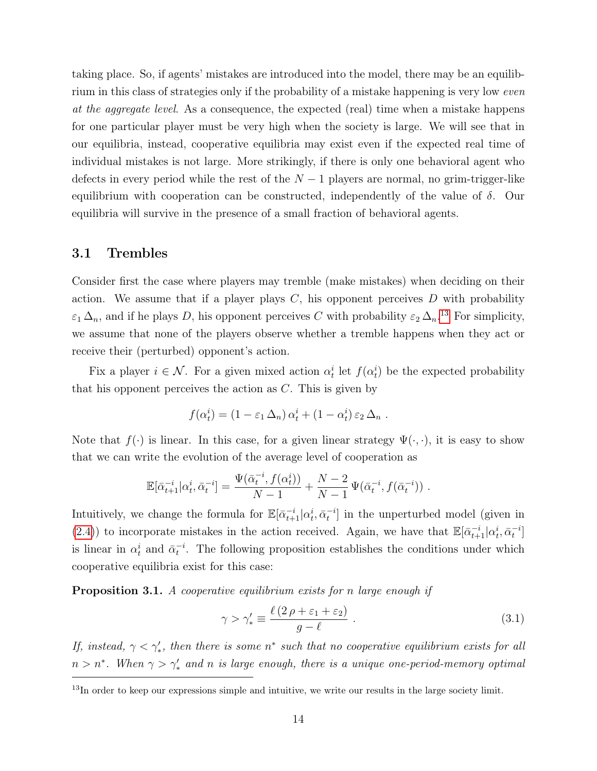taking place. So, if agents' mistakes are introduced into the model, there may be an equilibrium in this class of strategies only if the probability of a mistake happening is very low even at the aggregate level. As a consequence, the expected (real) time when a mistake happens for one particular player must be very high when the society is large. We will see that in our equilibria, instead, cooperative equilibria may exist even if the expected real time of individual mistakes is not large. More strikingly, if there is only one behavioral agent who defects in every period while the rest of the  $N-1$  players are normal, no grim-trigger-like equilibrium with cooperation can be constructed, independently of the value of  $\delta$ . Our equilibria will survive in the presence of a small fraction of behavioral agents.

#### 3.1 Trembles

Consider first the case where players may tremble (make mistakes) when deciding on their action. We assume that if a player plays  $C$ , his opponent perceives  $D$  with probability  $\varepsilon_1 \Delta_n$ , and if he plays D, his opponent perceives C with probability  $\varepsilon_2 \Delta_n$ <sup>[13](#page-14-0)</sup> For simplicity, we assume that none of the players observe whether a tremble happens when they act or receive their (perturbed) opponent's action.

Fix a player  $i \in \mathcal{N}$ . For a given mixed action  $\alpha_t^i$  let  $f(\alpha_t^i)$  be the expected probability that his opponent perceives the action as  $C$ . This is given by

$$
f(\alpha_t^i) = (1 - \varepsilon_1 \Delta_n) \alpha_t^i + (1 - \alpha_t^i) \varepsilon_2 \Delta_n.
$$

Note that  $f(\cdot)$  is linear. In this case, for a given linear strategy  $\Psi(\cdot,\cdot)$ , it is easy to show that we can write the evolution of the average level of cooperation as

$$
\mathbb{E}[\bar{\alpha}_{t+1}^{-i}|\alpha_t^i, \bar{\alpha}_t^{-i}] = \frac{\Psi(\bar{\alpha}_t^{-i}, f(\alpha_t^i))}{N-1} + \frac{N-2}{N-1}\Psi(\bar{\alpha}_t^{-i}, f(\bar{\alpha}_t^{-i})) .
$$

Intuitively, we change the formula for  $\mathbb{E}[\bar{\alpha}_{t+1}^{-i}|\alpha_t^i,\bar{\alpha}_t^{-i}]$  in the unperturbed model (given in [\(2.4\)](#page-8-2)) to incorporate mistakes in the action received. Again, we have that  $\mathbb{E}[\bar{\alpha}_{t+1}^{-i}|\alpha_t^i,\bar{\alpha}_t^{-i}]$ is linear in  $\alpha_t^i$  and  $\bar{\alpha}_t^{-i}$ . The following proposition establishes the conditions under which cooperative equilibria exist for this case:

<span id="page-14-1"></span>**Proposition 3.1.** A cooperative equilibrium exists for n large enough if

<span id="page-14-2"></span>
$$
\gamma > \gamma'_{*} \equiv \frac{\ell (2 \rho + \varepsilon_1 + \varepsilon_2)}{g - \ell} \ . \tag{3.1}
$$

If, instead,  $\gamma < \gamma'_*$ , then there is some  $n^*$  such that no cooperative equilibrium exists for all  $n > n^*$ . When  $\gamma > \gamma'_*$  and n is large enough, there is a unique one-period-memory optimal

<span id="page-14-0"></span><sup>&</sup>lt;sup>13</sup>In order to keep our expressions simple and intuitive, we write our results in the large society limit.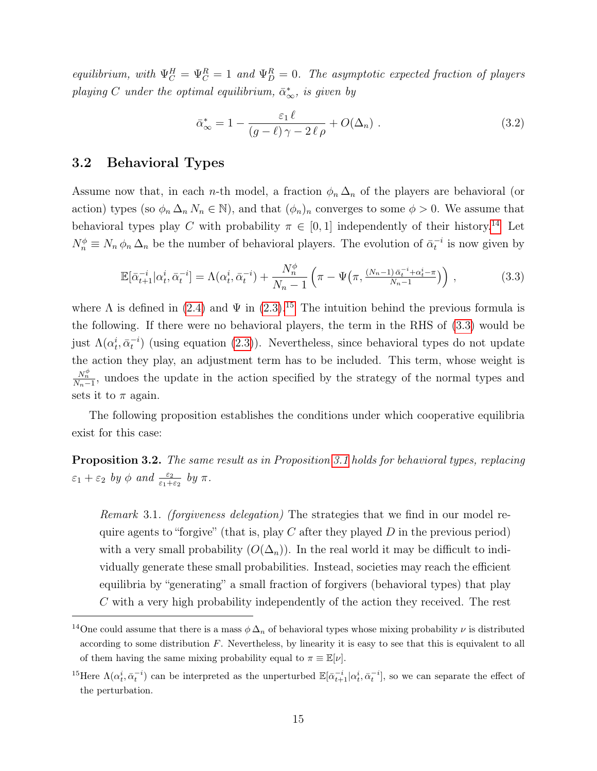equilibrium, with  $\Psi_C^H = \Psi_C^R = 1$  and  $\Psi_D^R = 0$ . The asymptotic expected fraction of players playing C under the optimal equilibrium,  $\bar{\alpha}_{\infty}^{*}$ , is given by

<span id="page-15-5"></span>
$$
\bar{\alpha}_{\infty}^* = 1 - \frac{\varepsilon_1 \ell}{(g - \ell)\gamma - 2\ell\rho} + O(\Delta_n) \tag{3.2}
$$

#### <span id="page-15-3"></span>3.2 Behavioral Types

Assume now that, in each n-th model, a fraction  $\phi_n \Delta_n$  of the players are behavioral (or action) types (so  $\phi_n \Delta_n N_n \in \mathbb{N}$ ), and that  $(\phi_n)_n$  converges to some  $\phi > 0$ . We assume that behavioral types play C with probability  $\pi \in [0, 1]$  independently of their history.<sup>[14](#page-15-0)</sup> Let  $N_n^{\phi} \equiv N_n \phi_n \Delta_n$  be the number of behavioral players. The evolution of  $\bar{\alpha}_t^{-i}$  is now given by

<span id="page-15-2"></span>
$$
\mathbb{E}[\bar{\alpha}_{t+1}^{-i}|\alpha_t^i, \bar{\alpha}_t^{-i}] = \Lambda(\alpha_t^i, \bar{\alpha}_t^{-i}) + \frac{N_n^{\phi}}{N_n - 1} \left(\pi - \Psi\left(\pi, \frac{(N_n - 1)\bar{\alpha}_t^{-i} + \alpha_t^i - \pi}{N_n - 1}\right)\right),\tag{3.3}
$$

where  $\Lambda$  is defined in [\(2.4\)](#page-8-2) and  $\Psi$  in [\(2.3\)](#page-7-3).<sup>[15](#page-15-1)</sup> The intuition behind the previous formula is the following. If there were no behavioral players, the term in the RHS of [\(3.3\)](#page-15-2) would be just  $\Lambda(\alpha_t^i, \bar{\alpha}_t^{-i})$  (using equation [\(2.3\)](#page-7-3)). Nevertheless, since behavioral types do not update the action they play, an adjustment term has to be included. This term, whose weight is  $\frac{N_n^{\phi}}{N_n-1}$ , undoes the update in the action specified by the strategy of the normal types and sets it to  $\pi$  again.

The following proposition establishes the conditions under which cooperative equilibria exist for this case:

<span id="page-15-4"></span>Proposition 3.2. The same result as in Proposition [3.1](#page-14-1) holds for behavioral types, replacing  $\varepsilon_1 + \varepsilon_2$  by  $\phi$  and  $\frac{\varepsilon_2}{\varepsilon_1 + \varepsilon_2}$  by  $\pi$ .

Remark 3.1. (forgiveness delegation) The strategies that we find in our model require agents to "forgive" (that is, play C after they played  $D$  in the previous period) with a very small probability  $(O(\Delta_n))$ . In the real world it may be difficult to individually generate these small probabilities. Instead, societies may reach the efficient equilibria by "generating" a small fraction of forgivers (behavioral types) that play C with a very high probability independently of the action they received. The rest

<span id="page-15-0"></span><sup>&</sup>lt;sup>14</sup>One could assume that there is a mass  $\phi \Delta_n$  of behavioral types whose mixing probability  $\nu$  is distributed according to some distribution  $F$ . Nevertheless, by linearity it is easy to see that this is equivalent to all of them having the same mixing probability equal to  $\pi \equiv \mathbb{E}[\nu].$ 

<span id="page-15-1"></span><sup>&</sup>lt;sup>15</sup>Here  $\Lambda(\alpha_t^i, \bar{\alpha}_t^{-i})$  can be interpreted as the unperturbed  $\mathbb{E}[\bar{\alpha}_{t+1}^{-i}|\alpha_t^i, \bar{\alpha}_t^{-i}]$ , so we can separate the effect of the perturbation.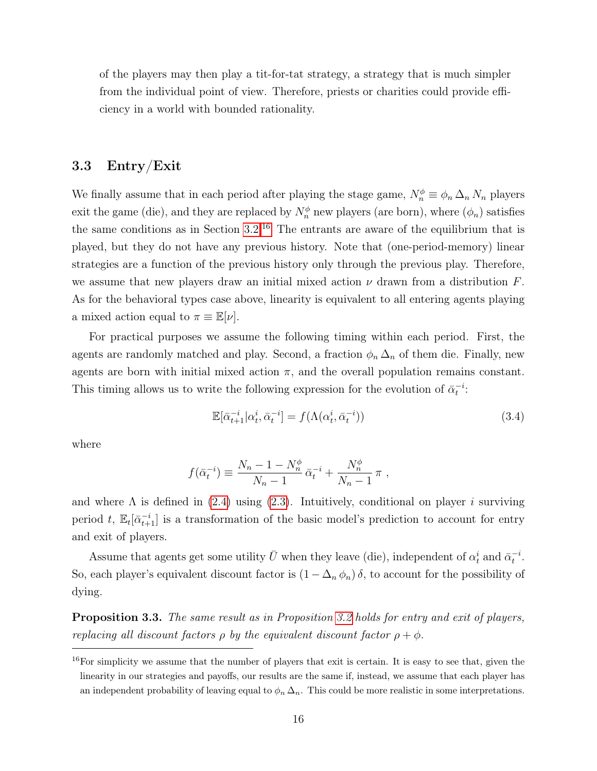of the players may then play a tit-for-tat strategy, a strategy that is much simpler from the individual point of view. Therefore, priests or charities could provide efficiency in a world with bounded rationality.

#### 3.3 Entry/Exit

We finally assume that in each period after playing the stage game,  $N_n^{\phi} \equiv \phi_n \Delta_n N_n$  players exit the game (die), and they are replaced by  $N_n^{\phi}$  new players (are born), where  $(\phi_n)$  satisfies the same conditions as in Section  $3.2^{16}$  $3.2^{16}$  $3.2^{16}$  The entrants are aware of the equilibrium that is played, but they do not have any previous history. Note that (one-period-memory) linear strategies are a function of the previous history only through the previous play. Therefore, we assume that new players draw an initial mixed action  $\nu$  drawn from a distribution  $F$ . As for the behavioral types case above, linearity is equivalent to all entering agents playing a mixed action equal to  $\pi \equiv \mathbb{E}[\nu]$ .

For practical purposes we assume the following timing within each period. First, the agents are randomly matched and play. Second, a fraction  $\phi_n \Delta_n$  of them die. Finally, new agents are born with initial mixed action  $\pi$ , and the overall population remains constant. This timing allows us to write the following expression for the evolution of  $\bar{\alpha}_t^{-i}$ :

$$
\mathbb{E}[\bar{\alpha}_{t+1}^{-i}|\alpha_t^i, \bar{\alpha}_t^{-i}] = f(\Lambda(\alpha_t^i, \bar{\alpha}_t^{-i}))
$$
\n(3.4)

where

$$
f(\bar{\alpha}_t^{-i}) \equiv \frac{N_n - 1 - N_n^{\phi}}{N_n - 1} \bar{\alpha}_t^{-i} + \frac{N_n^{\phi}}{N_n - 1} \pi ,
$$

and where  $\Lambda$  is defined in [\(2.4\)](#page-8-2) using [\(2.3\)](#page-7-3). Intuitively, conditional on player i surviving period t,  $\mathbb{E}_t[\bar{\alpha}_{t+1}^{-i}]$  is a transformation of the basic model's prediction to account for entry and exit of players.

Assume that agents get some utility  $\bar{U}$  when they leave (die), independent of  $\alpha_t^i$  and  $\bar{\alpha}_t^{-i}$ . So, each player's equivalent discount factor is  $(1 - \Delta_n \phi_n) \delta$ , to account for the possibility of dying.

**Proposition 3.3.** The same result as in Proposition [3.2](#page-15-4) holds for entry and exit of players, replacing all discount factors  $\rho$  by the equivalent discount factor  $\rho + \phi$ .

<span id="page-16-0"></span><sup>16</sup>For simplicity we assume that the number of players that exit is certain. It is easy to see that, given the linearity in our strategies and payoffs, our results are the same if, instead, we assume that each player has an independent probability of leaving equal to  $\phi_n \Delta_n$ . This could be more realistic in some interpretations.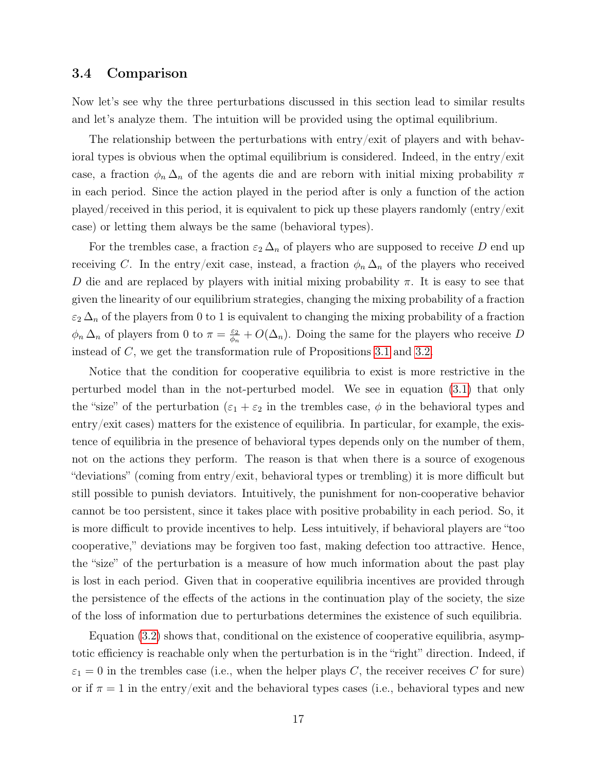#### 3.4 Comparison

Now let's see why the three perturbations discussed in this section lead to similar results and let's analyze them. The intuition will be provided using the optimal equilibrium.

The relationship between the perturbations with entry/exit of players and with behavioral types is obvious when the optimal equilibrium is considered. Indeed, in the entry/exit case, a fraction  $\phi_n \Delta_n$  of the agents die and are reborn with initial mixing probability  $\pi$ in each period. Since the action played in the period after is only a function of the action played/received in this period, it is equivalent to pick up these players randomly (entry/exit case) or letting them always be the same (behavioral types).

For the trembles case, a fraction  $\varepsilon_2 \Delta_n$  of players who are supposed to receive D end up receiving C. In the entry/exit case, instead, a fraction  $\phi_n \Delta_n$  of the players who received D die and are replaced by players with initial mixing probability  $\pi$ . It is easy to see that given the linearity of our equilibrium strategies, changing the mixing probability of a fraction  $\varepsilon_2 \Delta_n$  of the players from 0 to 1 is equivalent to changing the mixing probability of a fraction  $\phi_n \Delta_n$  of players from 0 to  $\pi = \frac{\varepsilon_2}{\phi_n}$  $\frac{\varepsilon_2}{\phi_n} + O(\Delta_n)$ . Doing the same for the players who receive D instead of C, we get the transformation rule of Propositions [3.1](#page-14-1) and [3.2.](#page-15-4)

Notice that the condition for cooperative equilibria to exist is more restrictive in the perturbed model than in the not-perturbed model. We see in equation [\(3.1\)](#page-14-2) that only the "size" of the perturbation  $(\varepsilon_1 + \varepsilon_2)$  in the trembles case,  $\phi$  in the behavioral types and entry/exit cases) matters for the existence of equilibria. In particular, for example, the existence of equilibria in the presence of behavioral types depends only on the number of them, not on the actions they perform. The reason is that when there is a source of exogenous "deviations" (coming from entry/exit, behavioral types or trembling) it is more difficult but still possible to punish deviators. Intuitively, the punishment for non-cooperative behavior cannot be too persistent, since it takes place with positive probability in each period. So, it is more difficult to provide incentives to help. Less intuitively, if behavioral players are "too cooperative," deviations may be forgiven too fast, making defection too attractive. Hence, the "size" of the perturbation is a measure of how much information about the past play is lost in each period. Given that in cooperative equilibria incentives are provided through the persistence of the effects of the actions in the continuation play of the society, the size of the loss of information due to perturbations determines the existence of such equilibria.

Equation [\(3.2\)](#page-15-5) shows that, conditional on the existence of cooperative equilibria, asymptotic efficiency is reachable only when the perturbation is in the "right" direction. Indeed, if  $\varepsilon_1 = 0$  in the trembles case (i.e., when the helper plays C, the receiver receives C for sure) or if  $\pi = 1$  in the entry/exit and the behavioral types cases (i.e., behavioral types and new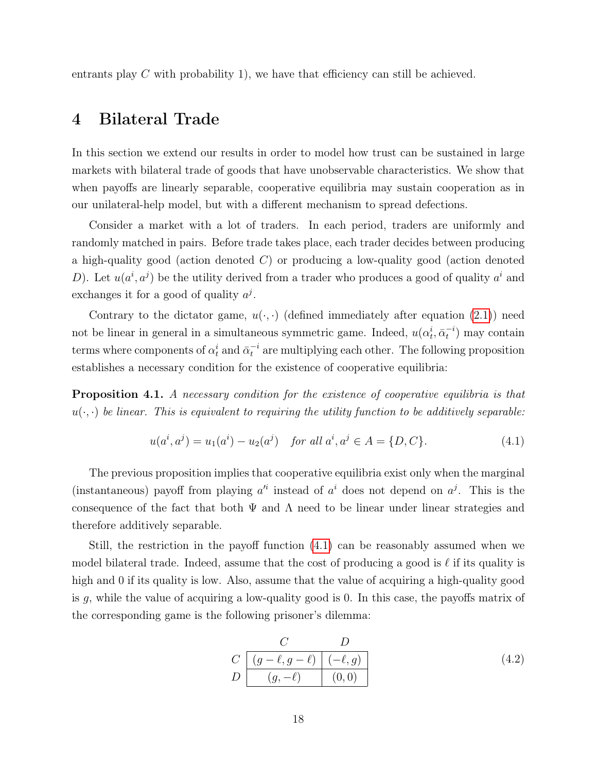entrants play C with probability 1), we have that efficiency can still be achieved.

## <span id="page-18-0"></span>4 Bilateral Trade

In this section we extend our results in order to model how trust can be sustained in large markets with bilateral trade of goods that have unobservable characteristics. We show that when payoffs are linearly separable, cooperative equilibria may sustain cooperation as in our unilateral-help model, but with a different mechanism to spread defections.

Consider a market with a lot of traders. In each period, traders are uniformly and randomly matched in pairs. Before trade takes place, each trader decides between producing a high-quality good (action denoted  $C$ ) or producing a low-quality good (action denoted D). Let  $u(a^i, a^j)$  be the utility derived from a trader who produces a good of quality  $a^i$  and exchanges it for a good of quality  $a^j$ .

Contrary to the dictator game,  $u(\cdot, \cdot)$  (defined immediately after equation [\(2.1\)](#page-7-0)) need not be linear in general in a simultaneous symmetric game. Indeed,  $u(\alpha_t^i, \bar{\alpha}_t^{-i})$  may contain terms where components of  $\alpha_t^i$  and  $\bar{\alpha}_t^{-i}$  are multiplying each other. The following proposition establishes a necessary condition for the existence of cooperative equilibria:

<span id="page-18-2"></span>Proposition 4.1. A necessary condition for the existence of cooperative equilibria is that  $u(\cdot, \cdot)$  be linear. This is equivalent to requiring the utility function to be additively separable:

<span id="page-18-1"></span>
$$
u(a^i, a^j) = u_1(a^i) - u_2(a^j) \quad \text{for all } a^i, a^j \in A = \{D, C\}. \tag{4.1}
$$

The previous proposition implies that cooperative equilibria exist only when the marginal (instantaneous) payoff from playing  $a^{i}$  instead of  $a^{i}$  does not depend on  $a^{j}$ . This is the consequence of the fact that both  $\Psi$  and  $\Lambda$  need to be linear under linear strategies and therefore additively separable.

Still, the restriction in the payoff function [\(4.1\)](#page-18-1) can be reasonably assumed when we model bilateral trade. Indeed, assume that the cost of producing a good is  $\ell$  if its quality is high and 0 if its quality is low. Also, assume that the value of acquiring a high-quality good is g, while the value of acquiring a low-quality good is 0. In this case, the payoffs matrix of the corresponding game is the following prisoner's dilemma:

$$
\begin{array}{c|c}\n C & D \\
C & (g - \ell, g - \ell) & (-\ell, g) \\
D & (g, -\ell) & (0, 0)\n\end{array} \tag{4.2}
$$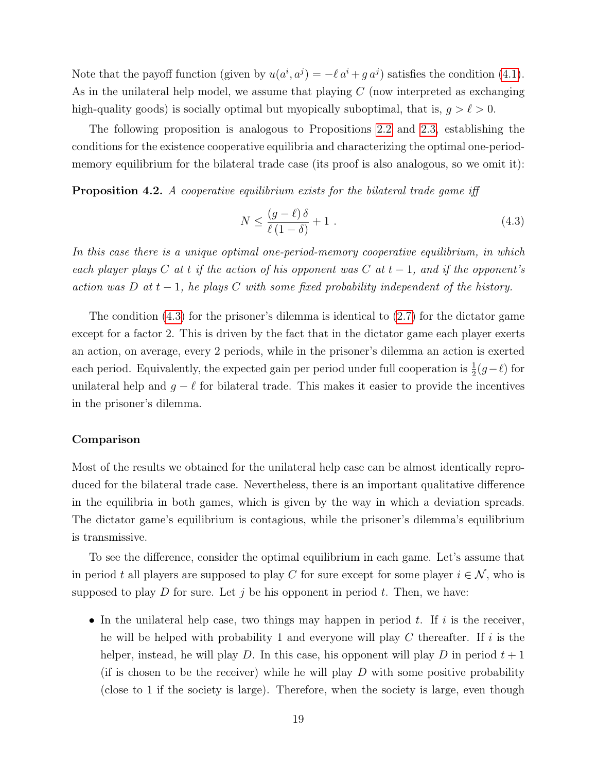Note that the payoff function (given by  $u(a^i, a^j) = -\ell a^i + g a^j$ ) satisfies the condition [\(4.1\)](#page-18-1). As in the unilateral help model, we assume that playing  $C$  (now interpreted as exchanging high-quality goods) is socially optimal but myopically suboptimal, that is,  $g > \ell > 0$ .

The following proposition is analogous to Propositions [2.2](#page-9-2) and [2.3,](#page-9-3) establishing the conditions for the existence cooperative equilibria and characterizing the optimal one-periodmemory equilibrium for the bilateral trade case (its proof is also analogous, so we omit it):

**Proposition 4.2.** A cooperative equilibrium exists for the bilateral trade game iff

<span id="page-19-0"></span>
$$
N \le \frac{(g-\ell)\,\delta}{\ell\,(1-\delta)} + 1\tag{4.3}
$$

In this case there is a unique optimal one-period-memory cooperative equilibrium, in which each player plays C at t if the action of his opponent was C at  $t-1$ , and if the opponent's action was D at  $t-1$ , he plays C with some fixed probability independent of the history.

The condition [\(4.3\)](#page-19-0) for the prisoner's dilemma is identical to [\(2.7\)](#page-9-0) for the dictator game except for a factor 2. This is driven by the fact that in the dictator game each player exerts an action, on average, every 2 periods, while in the prisoner's dilemma an action is exerted each period. Equivalently, the expected gain per period under full cooperation is  $\frac{1}{2}(g-\ell)$  for unilateral help and  $g - \ell$  for bilateral trade. This makes it easier to provide the incentives in the prisoner's dilemma.

#### Comparison

Most of the results we obtained for the unilateral help case can be almost identically reproduced for the bilateral trade case. Nevertheless, there is an important qualitative difference in the equilibria in both games, which is given by the way in which a deviation spreads. The dictator game's equilibrium is contagious, while the prisoner's dilemma's equilibrium is transmissive.

To see the difference, consider the optimal equilibrium in each game. Let's assume that in period t all players are supposed to play C for sure except for some player  $i \in \mathcal{N}$ , who is supposed to play D for sure. Let j be his opponent in period t. Then, we have:

• In the unilateral help case, two things may happen in period  $t$ . If  $i$  is the receiver, he will be helped with probability 1 and everyone will play  $C$  thereafter. If i is the helper, instead, he will play D. In this case, his opponent will play D in period  $t + 1$ (if is chosen to be the receiver) while he will play  $D$  with some positive probability (close to 1 if the society is large). Therefore, when the society is large, even though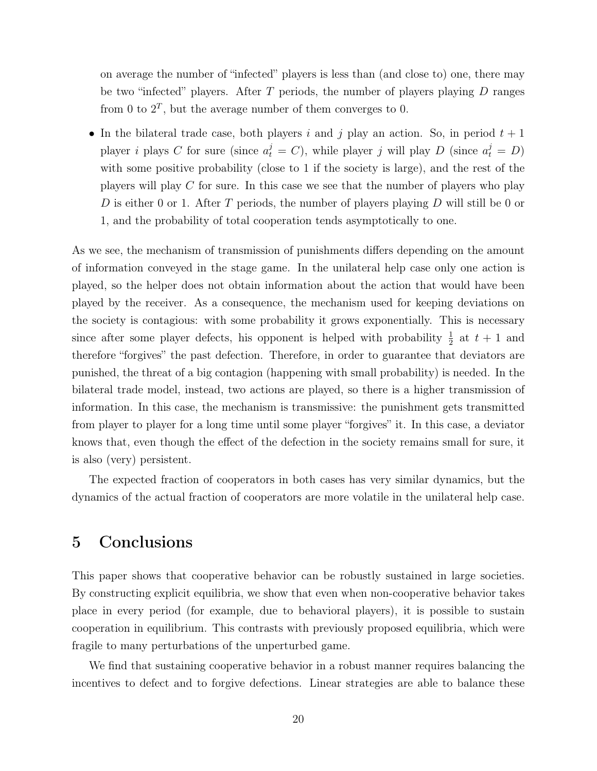on average the number of "infected" players is less than (and close to) one, there may be two "infected" players. After  $T$  periods, the number of players playing  $D$  ranges from 0 to  $2^T$ , but the average number of them converges to 0.

• In the bilateral trade case, both players i and j play an action. So, in period  $t + 1$ player *i* plays C for sure (since  $a_t^j = C$ ), while player *j* will play D (since  $a_t^j = D$ ) with some positive probability (close to 1 if the society is large), and the rest of the players will play  $C$  for sure. In this case we see that the number of players who play D is either 0 or 1. After T periods, the number of players playing  $D$  will still be 0 or 1, and the probability of total cooperation tends asymptotically to one.

As we see, the mechanism of transmission of punishments differs depending on the amount of information conveyed in the stage game. In the unilateral help case only one action is played, so the helper does not obtain information about the action that would have been played by the receiver. As a consequence, the mechanism used for keeping deviations on the society is contagious: with some probability it grows exponentially. This is necessary since after some player defects, his opponent is helped with probability  $\frac{1}{2}$  at  $t + 1$  and therefore "forgives" the past defection. Therefore, in order to guarantee that deviators are punished, the threat of a big contagion (happening with small probability) is needed. In the bilateral trade model, instead, two actions are played, so there is a higher transmission of information. In this case, the mechanism is transmissive: the punishment gets transmitted from player to player for a long time until some player "forgives" it. In this case, a deviator knows that, even though the effect of the defection in the society remains small for sure, it is also (very) persistent.

The expected fraction of cooperators in both cases has very similar dynamics, but the dynamics of the actual fraction of cooperators are more volatile in the unilateral help case.

## <span id="page-20-0"></span>5 Conclusions

This paper shows that cooperative behavior can be robustly sustained in large societies. By constructing explicit equilibria, we show that even when non-cooperative behavior takes place in every period (for example, due to behavioral players), it is possible to sustain cooperation in equilibrium. This contrasts with previously proposed equilibria, which were fragile to many perturbations of the unperturbed game.

We find that sustaining cooperative behavior in a robust manner requires balancing the incentives to defect and to forgive defections. Linear strategies are able to balance these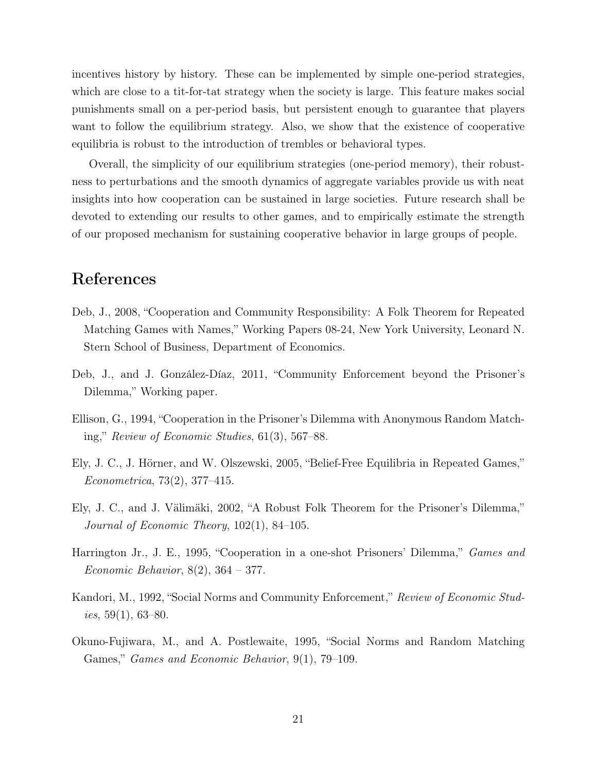incentives history by history. These can be implemented by simple one-period strategies, which are close to a tit-for-tat strategy when the society is large. This feature makes social punishments small on a per-period basis, but persistent enough to guarantee that players want to follow the equilibrium strategy. Also, we show that the existence of cooperative equilibria is robust to the introduction of trembles or behavioral types.

Overall, the simplicity of our equilibrium strategies (one-period memory), their robustness to perturbations and the smooth dynamics of aggregate variables provide us with neat insights into how cooperation can be sustained in large societies. Future research shall be devoted to extending our results to other games, and to empirically estimate the strength of our proposed mechanism for sustaining cooperative behavior in large groups of people.

## References

- Deb, J., 2008, "Cooperation and Community Responsibility: A Folk Theorem for Repeated Matching Games with Names," Working Papers 08-24, New York University, Leonard N. Stern School of Business, Department of Economics.
- Deb, J., and J. González-Díaz, 2011, "Community Enforcement beyond the Prisoner's Dilemma," Working paper.
- Ellison, G., 1994, "Cooperation in the Prisoner's Dilemma with Anonymous Random Matching," Review of Economic Studies, 61(3), 567–88.
- Ely, J. C., J. Hörner, and W. Olszewski, 2005, "Belief-Free Equilibria in Repeated Games," Econometrica, 73(2), 377–415.
- Ely, J. C., and J. Välimäki, 2002, "A Robust Folk Theorem for the Prisoner's Dilemma," Journal of Economic Theory, 102(1), 84–105.
- Harrington Jr., J. E., 1995, "Cooperation in a one-shot Prisoners' Dilemma," Games and Economic Behavior, 8(2), 364 – 377.
- Kandori, M., 1992, "Social Norms and Community Enforcement," Review of Economic Studies,  $59(1)$ , 63–80.
- Okuno-Fujiwara, M., and A. Postlewaite, 1995, "Social Norms and Random Matching Games," Games and Economic Behavior, 9(1), 79–109.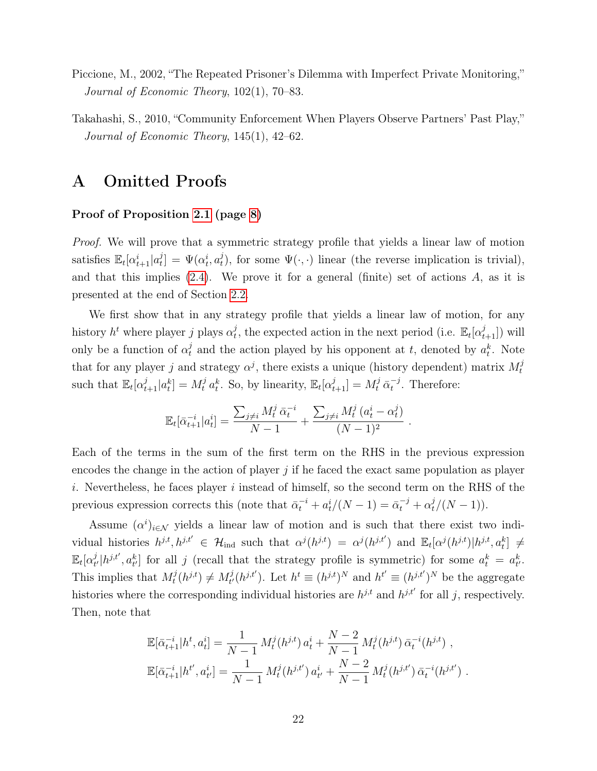- Piccione, M., 2002, "The Repeated Prisoner's Dilemma with Imperfect Private Monitoring," Journal of Economic Theory, 102(1), 70–83.
- Takahashi, S., 2010, "Community Enforcement When Players Observe Partners' Past Play," Journal of Economic Theory, 145(1), 42–62.

## A Omitted Proofs

#### Proof of Proposition [2.1](#page-7-2) (page [8\)](#page-7-2)

Proof. We will prove that a symmetric strategy profile that yields a linear law of motion satisfies  $\mathbb{E}_{t}[\alpha_{t+1}^{i}|a_{t}^{j}]$  $\mathcal{L}_t^j$  =  $\Psi(\alpha_t^i, \alpha_t^j)$ <sup>*t*</sup><sub>*t*</sub>), for some  $\Psi(\cdot, \cdot)$  linear (the reverse implication is trivial), and that this implies  $(2.4)$ . We prove it for a general (finite) set of actions A, as it is presented at the end of Section [2.2.](#page-5-3)

We first show that in any strategy profile that yields a linear law of motion, for any history  $h^t$  where player j plays  $\alpha_t^j$  $_t^j$ , the expected action in the next period (i.e.  $\mathbb{E}_t[\alpha_{t+1}^j]$ ) will only be a function of  $\alpha_t^j$  and the action played by his opponent at t, denoted by  $a_t^k$ . Note that for any player j and strategy  $\alpha^j$ , there exists a unique (history dependent) matrix  $M_t^j$ t such that  $\mathbb{E}_t[\alpha_{t+1}^j | a_t^k] = M_t^j a_t^k$ . So, by linearity,  $\mathbb{E}_t[\alpha_{t+1}^j] = M_t^j \bar{\alpha}_t^{-j}$  $t^{-j}$ . Therefore:

$$
\mathbb{E}_t[\bar{\alpha}_{t+1}^{-i}|a_t^i] = \frac{\sum_{j\neq i} M_t^j \bar{\alpha}_t^{-i}}{N-1} + \frac{\sum_{j\neq i} M_t^j (a_t^i - \alpha_t^j)}{(N-1)^2}.
$$

Each of the terms in the sum of the first term on the RHS in the previous expression encodes the change in the action of player  $j$  if he faced the exact same population as player i. Nevertheless, he faces player i instead of himself, so the second term on the RHS of the previous expression corrects this (note that  $\bar{\alpha}_t^{-i} + a_t^{i}/(N-1) = \bar{\alpha}_t^{-j} + \alpha_t^{j}/(N-1)$ ).

Assume  $(\alpha^i)_{i \in \mathcal{N}}$  yields a linear law of motion and is such that there exist two individual histories  $h^{j,t}, h^{j,t'} \in \mathcal{H}_{\text{ind}}$  such that  $\alpha^j(h^{j,t}) = \alpha^j(h^{j,t'})$  and  $\mathbb{E}_t[\alpha^j(h^{j,t})|h^{j,t}, a_t^k] \neq$  $\mathbb{E}_t[\alpha_t^j]$  $t^j(h^{j,t'}, a_{t'}^k]$  for all j (recall that the strategy profile is symmetric) for some  $a_t^k = a_{t'}^k$ . This implies that  $M_t^j$  $t^{j}(h^{j,t}) \neq M^{j}_{t'}$  $t^j(t^{j,t'})$ . Let  $h^t \equiv (h^{j,t})^N$  and  $h^{t'} \equiv (h^{j,t'})^N$  be the aggregate histories where the corresponding individual histories are  $h^{j,t}$  and  $h^{j,t'}$  for all j, respectively. Then, note that

$$
\mathbb{E}[\bar{\alpha}_{t+1}^{-i}|h^t, a_t^i] = \frac{1}{N-1} M_t^j(h^{j,t}) a_t^i + \frac{N-2}{N-1} M_t^j(h^{j,t}) \bar{\alpha}_t^{-i}(h^{j,t}),
$$
  

$$
\mathbb{E}[\bar{\alpha}_{t+1}^{-i}|h^{t'}, a_{t'}^i] = \frac{1}{N-1} M_t^j(h^{j,t'}) a_{t'}^i + \frac{N-2}{N-1} M_t^j(h^{j,t'}) \bar{\alpha}_t^{-i}(h^{j,t'}).
$$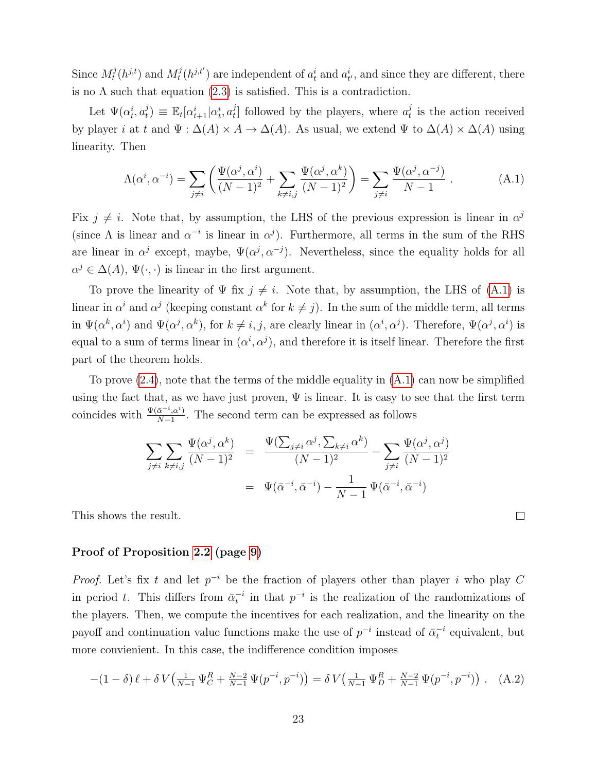Since  $M_t^j$  $t^j(h^{j,t})$  and  $M_t^j$  $t^j(t^{j,t'})$  are independent of  $a_t^i$  and  $a_{t'}^i$ , and since they are different, there is no  $\Lambda$  such that equation  $(2.3)$  is satisfied. This is a contradiction.

Let  $\Psi(\alpha_t^i, \alpha_t^j)$  $\mathbf{E}_{t}[\alpha_{t+1}^{i}|\alpha_{t}^{i}, a_{t}^{j}]$  $t_t^{j}$  followed by the players, where  $a_t^{j}$  $t<sub>t</sub>$  is the action received by player *i* at t and  $\Psi : \Delta(A) \times A \rightarrow \Delta(A)$ . As usual, we extend  $\Psi$  to  $\Delta(A) \times \Delta(A)$  using linearity. Then

<span id="page-23-0"></span>
$$
\Lambda(\alpha^i, \alpha^{-i}) = \sum_{j \neq i} \left( \frac{\Psi(\alpha^j, \alpha^i)}{(N-1)^2} + \sum_{k \neq i, j} \frac{\Psi(\alpha^j, \alpha^k)}{(N-1)^2} \right) = \sum_{j \neq i} \frac{\Psi(\alpha^j, \alpha^{-j})}{N-1} . \tag{A.1}
$$

Fix  $j \neq i$ . Note that, by assumption, the LHS of the previous expression is linear in  $\alpha^{j}$ (since  $\Lambda$  is linear and  $\alpha^{-i}$  is linear in  $\alpha^{j}$ ). Furthermore, all terms in the sum of the RHS are linear in  $\alpha^j$  except, maybe,  $\Psi(\alpha^j, \alpha^{-j})$ . Nevertheless, since the equality holds for all  $\alpha^{j} \in \Delta(A), \Psi(\cdot, \cdot)$  is linear in the first argument.

To prove the linearity of  $\Psi$  fix  $j \neq i$ . Note that, by assumption, the LHS of [\(A.1\)](#page-23-0) is linear in  $\alpha^i$  and  $\alpha^j$  (keeping constant  $\alpha^k$  for  $k \neq j$ ). In the sum of the middle term, all terms in  $\Psi(\alpha^k, \alpha^i)$  and  $\Psi(\alpha^j, \alpha^k)$ , for  $k \neq i, j$ , are clearly linear in  $(\alpha^i, \alpha^j)$ . Therefore,  $\Psi(\alpha^j, \alpha^i)$  is equal to a sum of terms linear in  $(\alpha^i, \alpha^j)$ , and therefore it is itself linear. Therefore the first part of the theorem holds.

To prove  $(2.4)$ , note that the terms of the middle equality in  $(A.1)$  can now be simplified using the fact that, as we have just proven,  $\Psi$  is linear. It is easy to see that the first term coincides with  $\frac{\Psi(\bar{\alpha}^{-i}, \alpha^i)}{N-1}$  $\frac{\alpha^{-1}$ ,  $\alpha^{0}}{N-1}$ . The second term can be expressed as follows

$$
\sum_{j \neq i} \sum_{k \neq i,j} \frac{\Psi(\alpha^j, \alpha^k)}{(N-1)^2} = \frac{\Psi(\sum_{j \neq i} \alpha^j, \sum_{k \neq i} \alpha^k)}{(N-1)^2} - \sum_{j \neq i} \frac{\Psi(\alpha^j, \alpha^j)}{(N-1)^2}
$$

$$
= \Psi(\bar{\alpha}^{-i}, \bar{\alpha}^{-i}) - \frac{1}{N-1} \Psi(\bar{\alpha}^{-i}, \bar{\alpha}^{-i})
$$

 $\Box$ 

This shows the result.

#### Proof of Proposition [2.2](#page-9-2) (page [9\)](#page-9-2)

*Proof.* Let's fix t and let  $p^{-i}$  be the fraction of players other than player i who play C in period t. This differs from  $\bar{\alpha}_t^{-i}$  in that  $p^{-i}$  is the realization of the randomizations of the players. Then, we compute the incentives for each realization, and the linearity on the payoff and continuation value functions make the use of  $p^{-i}$  instead of  $\bar{\alpha}_t^{-i}$  equivalent, but more convienient. In this case, the indifference condition imposes

<span id="page-23-1"></span>
$$
-(1-\delta)\ell + \delta V\left(\frac{1}{N-1}\Psi_C^R + \frac{N-2}{N-1}\Psi(p^{-i},p^{-i})\right) = \delta V\left(\frac{1}{N-1}\Psi_D^R + \frac{N-2}{N-1}\Psi(p^{-i},p^{-i})\right). \tag{A.2}
$$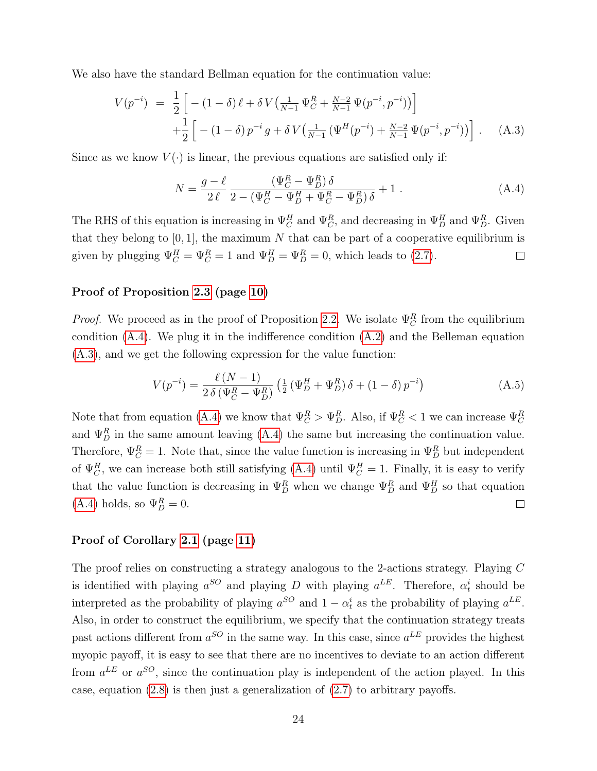We also have the standard Bellman equation for the continuation value:

<span id="page-24-1"></span>
$$
V(p^{-i}) = \frac{1}{2} \left[ -(1 - \delta) \ell + \delta V \left( \frac{1}{N-1} \Psi_C^R + \frac{N-2}{N-1} \Psi(p^{-i}, p^{-i}) \right) \right] + \frac{1}{2} \left[ -(1 - \delta) p^{-i} g + \delta V \left( \frac{1}{N-1} \left( \Psi^H(p^{-i}) + \frac{N-2}{N-1} \Psi(p^{-i}, p^{-i}) \right) \right] \right].
$$
 (A.3)

Since as we know  $V(\cdot)$  is linear, the previous equations are satisfied only if:

<span id="page-24-0"></span>
$$
N = \frac{g - \ell}{2\,\ell} \frac{(\Psi_C^R - \Psi_D^R) \,\delta}{2 - (\Psi_C^H - \Psi_D^H + \Psi_C^R - \Psi_D^R) \,\delta} + 1 \,. \tag{A.4}
$$

The RHS of this equation is increasing in  $\Psi_C^H$  and  $\Psi_C^R$ , and decreasing in  $\Psi_D^H$  and  $\Psi_D^R$ . Given that they belong to  $[0, 1]$ , the maximum N that can be part of a cooperative equilibrium is given by plugging  $\Psi_C^H = \Psi_C^R = 1$  and  $\Psi_D^H = \Psi_D^R = 0$ , which leads to [\(2.7\)](#page-9-0).  $\Box$ 

#### Proof of Proposition [2.3](#page-9-3) (page [10\)](#page-9-3)

*Proof.* We proceed as in the proof of Proposition [2.2.](#page-9-2) We isolate  $\Psi_C^R$  from the equilibrium condition [\(A.4\)](#page-24-0). We plug it in the indifference condition [\(A.2\)](#page-23-1) and the Belleman equation [\(A.3\)](#page-24-1), and we get the following expression for the value function:

$$
V(p^{-i}) = \frac{\ell (N-1)}{2 \delta (\Psi_C^R - \Psi_D^R)} \left( \frac{1}{2} \left( \Psi_D^H + \Psi_D^R \right) \delta + (1 - \delta) p^{-i} \right)
$$
(A.5)

Note that from equation [\(A.4\)](#page-24-0) we know that  $\Psi_C^R > \Psi_D^R$ . Also, if  $\Psi_C^R < 1$  we can increase  $\Psi_C^R$ and  $\Psi_D^R$  in the same amount leaving [\(A.4\)](#page-24-0) the same but increasing the continuation value. Therefore,  $\Psi_C^R = 1$ . Note that, since the value function is increasing in  $\Psi_D^R$  but independent of  $\Psi^H_C$ , we can increase both still satisfying [\(A.4\)](#page-24-0) until  $\Psi^H_C = 1$ . Finally, it is easy to verify that the value function is decreasing in  $\Psi_D^R$  when we change  $\Psi_D^R$  and  $\Psi_D^H$  so that equation [\(A.4\)](#page-24-0) holds, so  $\Psi_D^R = 0$ .  $\Box$ 

#### Proof of Corollary [2.1](#page-11-0) (page [11\)](#page-11-0)

The proof relies on constructing a strategy analogous to the 2-actions strategy. Playing C is identified with playing  $a^{SO}$  and playing D with playing  $a^{LE}$ . Therefore,  $\alpha_t^i$  should be interpreted as the probability of playing  $a^{SO}$  and  $1 - \alpha_t^i$  as the probability of playing  $a^{LE}$ . Also, in order to construct the equilibrium, we specify that the continuation strategy treats past actions different from  $a^{SO}$  in the same way. In this case, since  $a^{LE}$  provides the highest myopic payoff, it is easy to see that there are no incentives to deviate to an action different from  $a^{LE}$  or  $a^{SO}$ , since the continuation play is independent of the action played. In this case, equation  $(2.8)$  is then just a generalization of  $(2.7)$  to arbitrary payoffs.